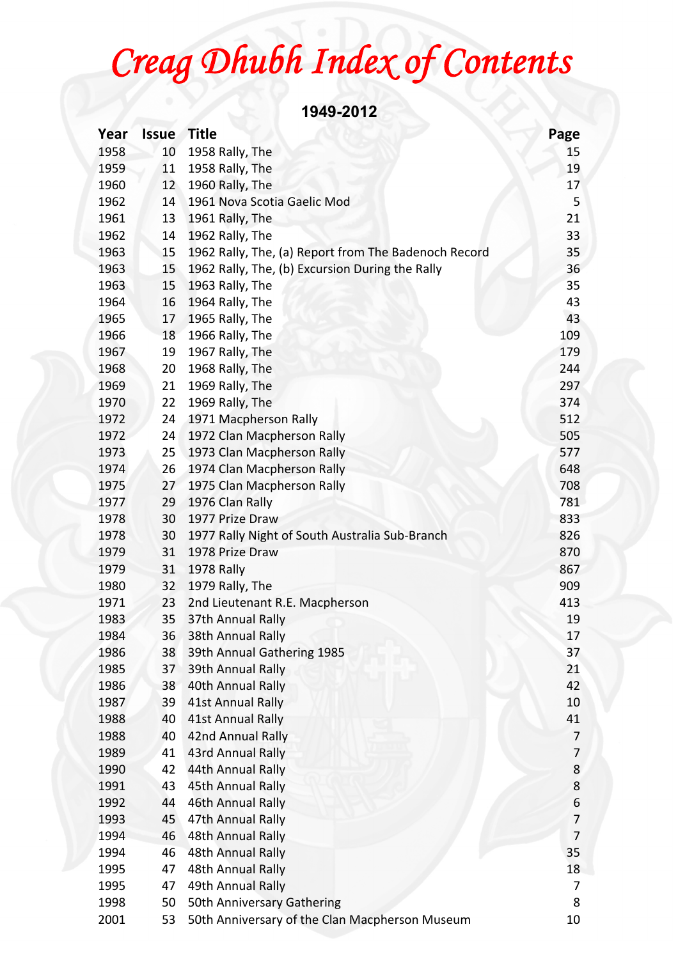## *Creag Dhubh Index of Contents*

**1949-2012** 

| Year | <b>Issue</b> | <b>Title</b>                                         | Page |
|------|--------------|------------------------------------------------------|------|
| 1958 | 10           | 1958 Rally, The                                      | 15   |
| 1959 | 11           | 1958 Rally, The                                      | 19   |
| 1960 | 12           | 1960 Rally, The                                      | 17   |
| 1962 | 14           | 1961 Nova Scotia Gaelic Mod                          | 5    |
| 1961 | 13           | 1961 Rally, The                                      | 21   |
| 1962 | 14           | 1962 Rally, The                                      | 33   |
| 1963 | 15           | 1962 Rally, The, (a) Report from The Badenoch Record | 35   |
| 1963 | 15           | 1962 Rally, The, (b) Excursion During the Rally      | 36   |
| 1963 | 15           | 1963 Rally, The                                      | 35   |
| 1964 | 16           | 1964 Rally, The                                      | 43   |
| 1965 | 17           | 1965 Rally, The                                      | 43   |
| 1966 | 18           | 1966 Rally, The                                      | 109  |
| 1967 | 19           | 1967 Rally, The                                      | 179  |
| 1968 | 20           | 1968 Rally, The                                      | 244  |
| 1969 | 21           | 1969 Rally, The                                      | 297  |
| 1970 | 22           | 1969 Rally, The                                      | 374  |
| 1972 | 24           | 1971 Macpherson Rally                                | 512  |
| 1972 | 24           | 1972 Clan Macpherson Rally                           | 505  |
| 1973 | 25           | 1973 Clan Macpherson Rally                           | 577  |
| 1974 | 26           | 1974 Clan Macpherson Rally                           | 648  |
| 1975 | 27           | 1975 Clan Macpherson Rally                           | 708  |
| 1977 | 29           | 1976 Clan Rally                                      | 781  |
| 1978 | 30           | 1977 Prize Draw                                      | 833  |
| 1978 | 30           | 1977 Rally Night of South Australia Sub-Branch       | 826  |
| 1979 | 31           | 1978 Prize Draw                                      | 870  |
| 1979 | 31           | 1978 Rally                                           | 867  |
| 1980 | 32           | 1979 Rally, The                                      | 909  |
| 1971 | 23           | 2nd Lieutenant R.E. Macpherson                       | 413  |
| 1983 | 35           | 37th Annual Rally                                    | 19   |
| 1984 | 36.          | 38th Annual Rally                                    | 17   |
| 1986 | 38           | 39th Annual Gathering 1985                           | 37   |
| 1985 | 37           | 39th Annual Rally                                    | 21   |
| 1986 | 38           | 40th Annual Rally                                    | 42   |
| 1987 | 39           | 41st Annual Rally                                    | 10   |
| 1988 | 40           | 41st Annual Rally                                    | 41   |
| 1988 | 40           | 42nd Annual Rally                                    | 7    |
| 1989 | 41           | 43rd Annual Rally                                    | 7    |
| 1990 | 42           | 44th Annual Rally                                    | 8    |
| 1991 | 43           | 45th Annual Rally                                    | 8    |
| 1992 | 44           | 46th Annual Rally                                    | 6    |
| 1993 | 45           | 47th Annual Rally                                    | 7    |
| 1994 | 46           | 48th Annual Rally                                    | 7    |
| 1994 | 46           | 48th Annual Rally                                    | 35   |
|      |              | 48th Annual Rally                                    |      |
| 1995 | 47           |                                                      | 18   |
| 1995 | 47           | 49th Annual Rally                                    | 7    |
| 1998 | 50           | 50th Anniversary Gathering                           | 8    |
| 2001 | 53           | 50th Anniversary of the Clan Macpherson Museum       | 10   |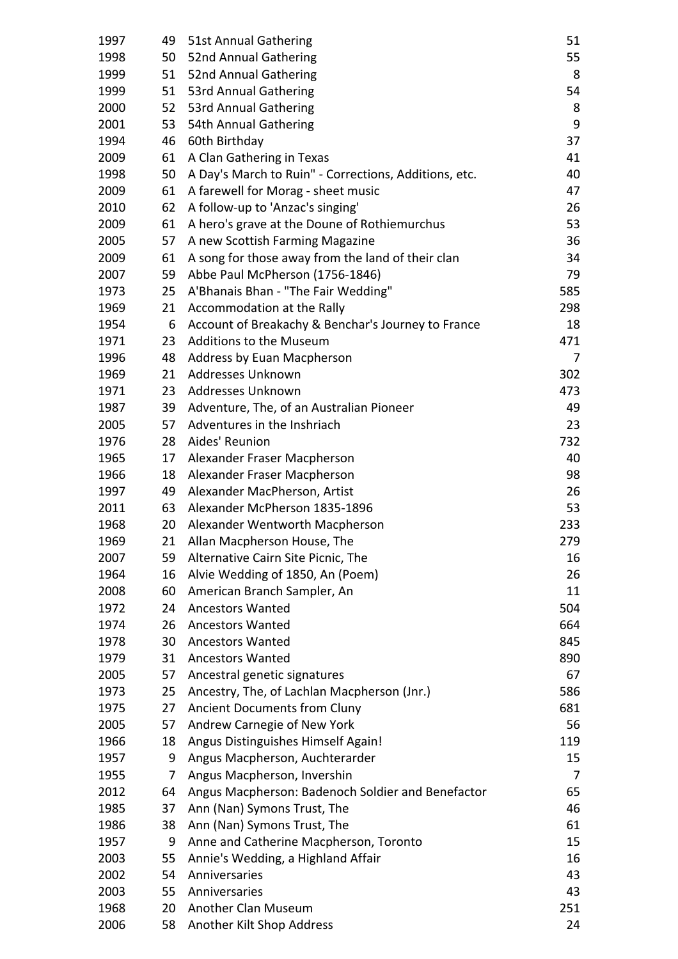| 1997         | 49       | 51st Annual Gathering                                  | 51       |
|--------------|----------|--------------------------------------------------------|----------|
| 1998         | 50       | 52nd Annual Gathering                                  | 55       |
| 1999         | 51       | 52nd Annual Gathering                                  | 8        |
| 1999         | 51       | 53rd Annual Gathering                                  | 54       |
| 2000         | 52       | 53rd Annual Gathering                                  | 8        |
| 2001         | 53       | 54th Annual Gathering                                  | 9        |
| 1994         | 46       | 60th Birthday                                          | 37       |
| 2009         | 61       | A Clan Gathering in Texas                              | 41       |
| 1998         | 50       | A Day's March to Ruin" - Corrections, Additions, etc.  | 40       |
| 2009         | 61       | A farewell for Morag - sheet music                     | 47       |
| 2010         | 62       | A follow-up to 'Anzac's singing'                       | 26       |
| 2009         | 61       | A hero's grave at the Doune of Rothiemurchus           | 53       |
| 2005         | 57       | A new Scottish Farming Magazine                        | 36       |
| 2009         | 61       | A song for those away from the land of their clan      | 34       |
| 2007         | 59       | Abbe Paul McPherson (1756-1846)                        | 79       |
| 1973         | 25       | A'Bhanais Bhan - "The Fair Wedding"                    | 585      |
| 1969         | 21       | Accommodation at the Rally                             | 298      |
| 1954         | 6        | Account of Breakachy & Benchar's Journey to France     | 18       |
| 1971         | 23       | Additions to the Museum                                | 471      |
| 1996         | 48       | Address by Euan Macpherson                             | 7        |
| 1969         | 21       | Addresses Unknown                                      | 302      |
| 1971         | 23       | Addresses Unknown                                      | 473      |
| 1987         | 39       | Adventure, The, of an Australian Pioneer               | 49       |
| 2005         | 57       | Adventures in the Inshriach                            | 23       |
| 1976         | 28       | Aides' Reunion                                         | 732      |
| 1965         | 17       | Alexander Fraser Macpherson                            | 40       |
| 1966         | 18       | Alexander Fraser Macpherson                            | 98       |
|              | 49       | Alexander MacPherson, Artist                           | 26       |
| 1997<br>2011 | 63       | Alexander McPherson 1835-1896                          | 53       |
| 1968         | 20       | Alexander Wentworth Macpherson                         | 233      |
| 1969         | 21       |                                                        | 279      |
| 2007         |          | Allan Macpherson House, The                            |          |
| 1964         | 59<br>16 | Alternative Cairn Site Picnic, The                     | 16<br>26 |
| 2008         | 60       | Alvie Wedding of 1850, An (Poem)                       | 11       |
|              |          | American Branch Sampler, An<br><b>Ancestors Wanted</b> |          |
| 1972         | 24       |                                                        | 504      |
| 1974         | 26       | <b>Ancestors Wanted</b>                                | 664      |
| 1978         | 30       | <b>Ancestors Wanted</b>                                | 845      |
| 1979         | 31       | <b>Ancestors Wanted</b>                                | 890      |
| 2005         | 57       | Ancestral genetic signatures                           | 67       |
| 1973         | 25       | Ancestry, The, of Lachlan Macpherson (Jnr.)            | 586      |
| 1975         | 27       | <b>Ancient Documents from Cluny</b>                    | 681      |
| 2005         | 57       | Andrew Carnegie of New York                            | 56       |
| 1966         | 18       | Angus Distinguishes Himself Again!                     | 119      |
| 1957         | 9        | Angus Macpherson, Auchterarder                         | 15       |
| 1955         | 7        | Angus Macpherson, Invershin                            | 7        |
| 2012         | 64       | Angus Macpherson: Badenoch Soldier and Benefactor      | 65       |
| 1985         | 37       | Ann (Nan) Symons Trust, The                            | 46       |
| 1986         | 38       | Ann (Nan) Symons Trust, The                            | 61       |
| 1957         | 9        | Anne and Catherine Macpherson, Toronto                 | 15       |
| 2003         | 55       | Annie's Wedding, a Highland Affair                     | 16       |
| 2002         | 54       | Anniversaries                                          | 43       |
| 2003         | 55       | Anniversaries                                          | 43       |
| 1968         | 20       | Another Clan Museum                                    | 251      |
| 2006         | 58       | Another Kilt Shop Address                              | 24       |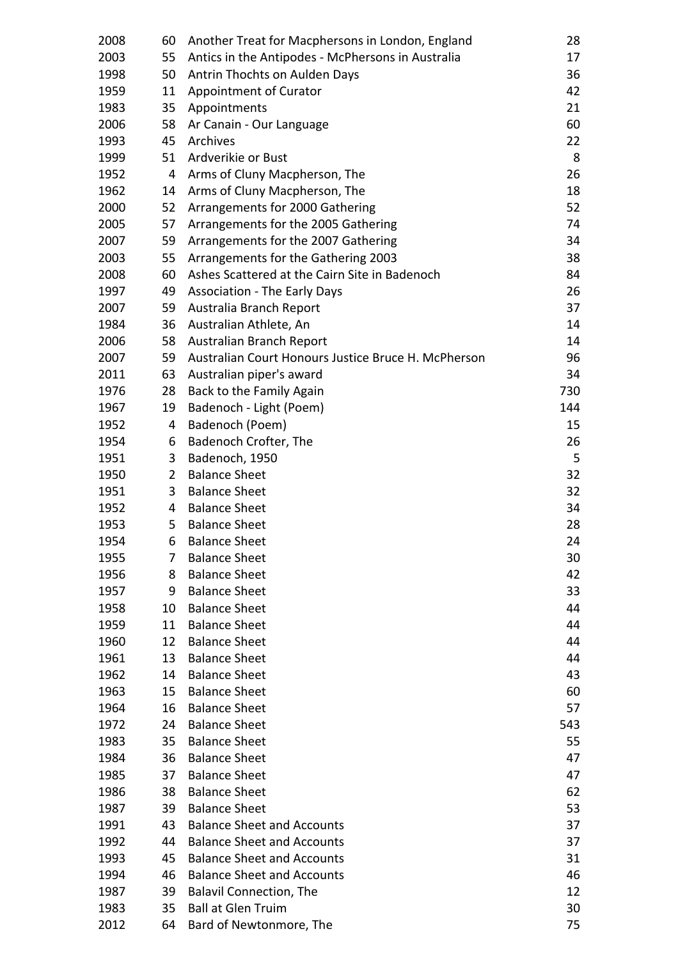| 2008 | 60             | Another Treat for Macphersons in London, England    | 28  |
|------|----------------|-----------------------------------------------------|-----|
| 2003 | 55             | Antics in the Antipodes - McPhersons in Australia   | 17  |
| 1998 | 50             | Antrin Thochts on Aulden Days                       | 36  |
| 1959 | 11             | Appointment of Curator                              | 42  |
| 1983 | 35             | Appointments                                        | 21  |
| 2006 | 58             | Ar Canain - Our Language                            | 60  |
| 1993 | 45             | Archives                                            | 22  |
| 1999 | 51             | Ardverikie or Bust                                  | 8   |
| 1952 | 4              | Arms of Cluny Macpherson, The                       | 26  |
| 1962 | 14             | Arms of Cluny Macpherson, The                       | 18  |
| 2000 | 52             | Arrangements for 2000 Gathering                     | 52  |
| 2005 | 57             | Arrangements for the 2005 Gathering                 | 74  |
| 2007 | 59             | Arrangements for the 2007 Gathering                 | 34  |
| 2003 | 55             | Arrangements for the Gathering 2003                 | 38  |
| 2008 | 60             | Ashes Scattered at the Cairn Site in Badenoch       | 84  |
| 1997 | 49             | <b>Association - The Early Days</b>                 | 26  |
| 2007 | 59             | Australia Branch Report                             | 37  |
| 1984 | 36             | Australian Athlete, An                              | 14  |
| 2006 | 58             | Australian Branch Report                            | 14  |
| 2007 | 59             | Australian Court Honours Justice Bruce H. McPherson | 96  |
| 2011 | 63             | Australian piper's award                            | 34  |
| 1976 | 28             | Back to the Family Again                            | 730 |
| 1967 | 19             | Badenoch - Light (Poem)                             | 144 |
| 1952 | 4              | Badenoch (Poem)                                     | 15  |
| 1954 | 6              | Badenoch Crofter, The                               | 26  |
| 1951 | 3              | Badenoch, 1950                                      | 5   |
| 1950 | $\overline{2}$ | <b>Balance Sheet</b>                                | 32  |
| 1951 | 3              | <b>Balance Sheet</b>                                | 32  |
| 1952 | 4              | <b>Balance Sheet</b>                                | 34  |
| 1953 | 5              | <b>Balance Sheet</b>                                | 28  |
| 1954 | 6              | <b>Balance Sheet</b>                                | 24  |
| 1955 | 7              | <b>Balance Sheet</b>                                | 30  |
| 1956 | 8              | <b>Balance Sheet</b>                                | 42  |
| 1957 | 9              | <b>Balance Sheet</b>                                | 33  |
| 1958 | 10             | <b>Balance Sheet</b>                                | 44  |
| 1959 | 11             | <b>Balance Sheet</b>                                | 44  |
| 1960 | 12             | <b>Balance Sheet</b>                                | 44  |
| 1961 | 13             | <b>Balance Sheet</b>                                | 44  |
| 1962 | 14             | <b>Balance Sheet</b>                                | 43  |
| 1963 | 15             | <b>Balance Sheet</b>                                | 60  |
| 1964 | 16             | <b>Balance Sheet</b>                                | 57  |
| 1972 | 24             | <b>Balance Sheet</b>                                | 543 |
| 1983 | 35             | <b>Balance Sheet</b>                                | 55  |
| 1984 | 36             | <b>Balance Sheet</b>                                | 47  |
| 1985 | 37             | <b>Balance Sheet</b>                                | 47  |
| 1986 | 38             | <b>Balance Sheet</b>                                | 62  |
| 1987 | 39             | <b>Balance Sheet</b>                                | 53  |
| 1991 | 43             | <b>Balance Sheet and Accounts</b>                   | 37  |
| 1992 | 44             | <b>Balance Sheet and Accounts</b>                   | 37  |
| 1993 | 45             | <b>Balance Sheet and Accounts</b>                   | 31  |
| 1994 | 46             | <b>Balance Sheet and Accounts</b>                   | 46  |
| 1987 | 39             | <b>Balavil Connection, The</b>                      | 12  |
| 1983 | 35             | <b>Ball at Glen Truim</b>                           | 30  |
| 2012 | 64             | Bard of Newtonmore, The                             | 75  |
|      |                |                                                     |     |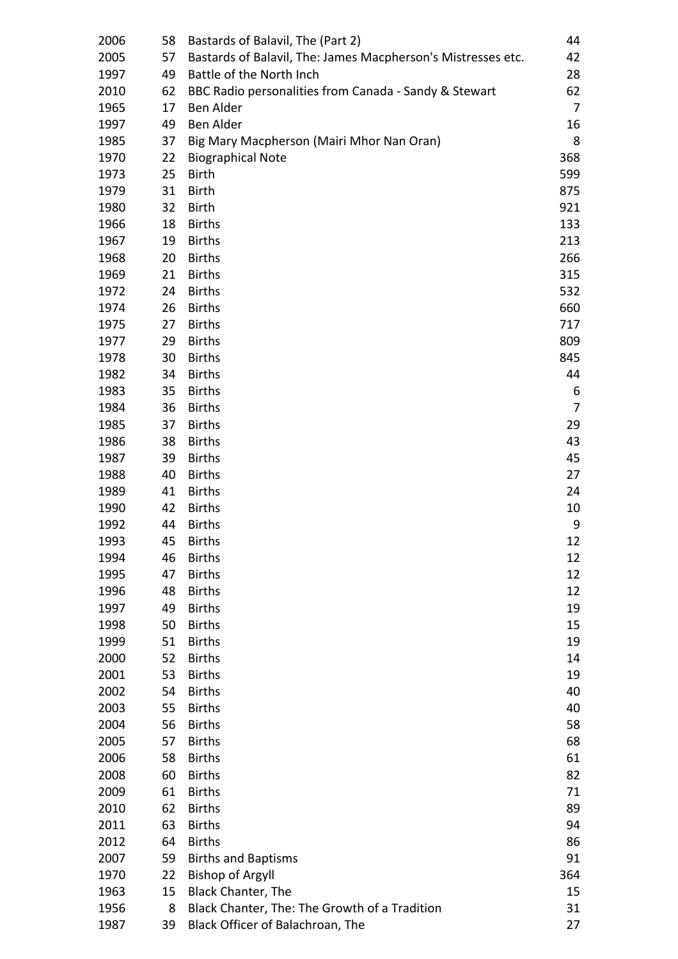| 2006 | 58 | Bastards of Balavil, The (Part 2)                            | 44  |
|------|----|--------------------------------------------------------------|-----|
| 2005 | 57 | Bastards of Balavil, The: James Macpherson's Mistresses etc. | 42  |
| 1997 | 49 | Battle of the North Inch                                     | 28  |
| 2010 | 62 | BBC Radio personalities from Canada - Sandy & Stewart        | 62  |
| 1965 | 17 | <b>Ben Alder</b>                                             | 7   |
| 1997 | 49 | Ben Alder                                                    | 16  |
| 1985 | 37 | Big Mary Macpherson (Mairi Mhor Nan Oran)                    | 8   |
| 1970 | 22 |                                                              | 368 |
|      | 25 | <b>Biographical Note</b><br><b>Birth</b>                     | 599 |
| 1973 |    |                                                              | 875 |
| 1979 | 31 | <b>Birth</b>                                                 |     |
| 1980 | 32 | <b>Birth</b>                                                 | 921 |
| 1966 | 18 | <b>Births</b>                                                | 133 |
| 1967 | 19 | <b>Births</b>                                                | 213 |
| 1968 | 20 | <b>Births</b>                                                | 266 |
| 1969 | 21 | <b>Births</b>                                                | 315 |
| 1972 | 24 | <b>Births</b>                                                | 532 |
| 1974 | 26 | <b>Births</b>                                                | 660 |
| 1975 | 27 | <b>Births</b>                                                | 717 |
| 1977 | 29 | <b>Births</b>                                                | 809 |
| 1978 | 30 | <b>Births</b>                                                | 845 |
| 1982 | 34 | <b>Births</b>                                                | 44  |
| 1983 | 35 | <b>Births</b>                                                | 6   |
| 1984 | 36 | <b>Births</b>                                                | 7   |
| 1985 | 37 | <b>Births</b>                                                | 29  |
| 1986 | 38 | <b>Births</b>                                                | 43  |
| 1987 | 39 | <b>Births</b>                                                | 45  |
| 1988 | 40 | <b>Births</b>                                                | 27  |
| 1989 | 41 | <b>Births</b>                                                | 24  |
| 1990 | 42 | <b>Births</b>                                                | 10  |
| 1992 | 44 | <b>Births</b>                                                | 9   |
| 1993 | 45 | <b>Births</b>                                                | 12  |
| 1994 | 46 | <b>Births</b>                                                | 12  |
| 1995 | 47 | <b>Births</b>                                                | 12  |
| 1996 | 48 | <b>Births</b>                                                | 12  |
| 1997 | 49 | <b>Births</b>                                                | 19  |
| 1998 | 50 | <b>Births</b>                                                | 15  |
| 1999 | 51 | <b>Births</b>                                                | 19  |
| 2000 | 52 | <b>Births</b>                                                | 14  |
| 2001 | 53 | <b>Births</b>                                                | 19  |
| 2002 | 54 | <b>Births</b>                                                | 40  |
| 2003 | 55 | <b>Births</b>                                                | 40  |
| 2004 | 56 | <b>Births</b>                                                | 58  |
| 2005 | 57 | <b>Births</b>                                                | 68  |
| 2006 | 58 | <b>Births</b>                                                | 61  |
| 2008 | 60 | <b>Births</b>                                                | 82  |
| 2009 | 61 | <b>Births</b>                                                | 71  |
| 2010 | 62 | <b>Births</b>                                                | 89  |
| 2011 | 63 | <b>Births</b>                                                | 94  |
| 2012 | 64 | <b>Births</b>                                                | 86  |
|      |    |                                                              |     |
| 2007 | 59 | <b>Births and Baptisms</b>                                   | 91  |
| 1970 | 22 | <b>Bishop of Argyll</b>                                      | 364 |
| 1963 | 15 | <b>Black Chanter, The</b>                                    | 15  |
| 1956 | 8  | Black Chanter, The: The Growth of a Tradition                | 31  |
| 1987 | 39 | Black Officer of Balachroan, The                             | 27  |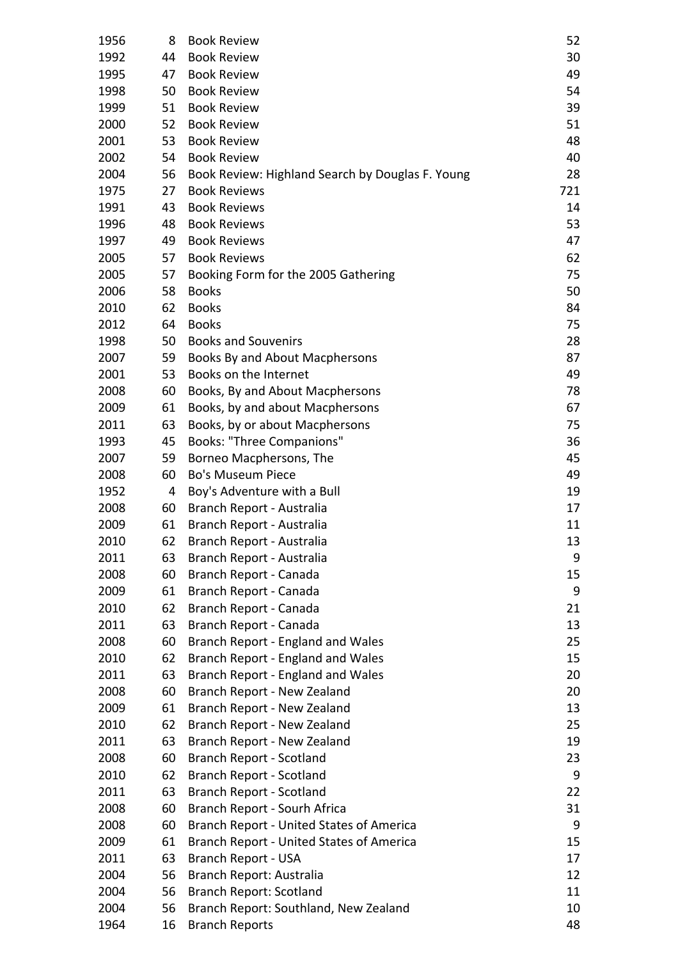| 1956 | 8  | <b>Book Review</b>                               | 52  |
|------|----|--------------------------------------------------|-----|
| 1992 | 44 | <b>Book Review</b>                               | 30  |
| 1995 | 47 | <b>Book Review</b>                               | 49  |
| 1998 | 50 | <b>Book Review</b>                               | 54  |
| 1999 | 51 | <b>Book Review</b>                               | 39  |
| 2000 | 52 | <b>Book Review</b>                               | 51  |
| 2001 | 53 | <b>Book Review</b>                               | 48  |
| 2002 | 54 | <b>Book Review</b>                               | 40  |
| 2004 | 56 | Book Review: Highland Search by Douglas F. Young | 28  |
| 1975 | 27 | <b>Book Reviews</b>                              | 721 |
| 1991 | 43 | <b>Book Reviews</b>                              | 14  |
| 1996 | 48 | <b>Book Reviews</b>                              | 53  |
| 1997 | 49 | <b>Book Reviews</b>                              | 47  |
| 2005 | 57 | <b>Book Reviews</b>                              | 62  |
| 2005 | 57 | Booking Form for the 2005 Gathering              | 75  |
| 2006 | 58 | <b>Books</b>                                     | 50  |
| 2010 | 62 | <b>Books</b>                                     | 84  |
| 2012 | 64 | <b>Books</b>                                     | 75  |
| 1998 | 50 | <b>Books and Souvenirs</b>                       | 28  |
| 2007 | 59 | Books By and About Macphersons                   | 87  |
| 2001 | 53 | Books on the Internet                            | 49  |
| 2008 | 60 | Books, By and About Macphersons                  | 78  |
| 2009 | 61 | Books, by and about Macphersons                  | 67  |
| 2011 | 63 | Books, by or about Macphersons                   | 75  |
| 1993 | 45 | <b>Books: "Three Companions"</b>                 | 36  |
| 2007 | 59 | Borneo Macphersons, The                          | 45  |
| 2008 | 60 | <b>Bo's Museum Piece</b>                         | 49  |
| 1952 | 4  | Boy's Adventure with a Bull                      | 19  |
| 2008 | 60 | Branch Report - Australia                        | 17  |
| 2009 | 61 | Branch Report - Australia                        | 11  |
| 2010 | 62 | Branch Report - Australia                        | 13  |
| 2011 | 63 | Branch Report - Australia                        | 9   |
| 2008 | 60 | Branch Report - Canada                           | 15  |
| 2009 | 61 | Branch Report - Canada                           | 9   |
| 2010 | 62 | Branch Report - Canada                           | 21  |
| 2011 | 63 | Branch Report - Canada                           | 13  |
| 2008 | 60 | Branch Report - England and Wales                | 25  |
| 2010 | 62 | Branch Report - England and Wales                | 15  |
| 2011 | 63 | Branch Report - England and Wales                | 20  |
| 2008 | 60 | Branch Report - New Zealand                      | 20  |
| 2009 | 61 | Branch Report - New Zealand                      | 13  |
| 2010 | 62 | Branch Report - New Zealand                      | 25  |
| 2011 | 63 | Branch Report - New Zealand                      | 19  |
| 2008 | 60 | Branch Report - Scotland                         | 23  |
| 2010 | 62 | Branch Report - Scotland                         | 9   |
| 2011 | 63 | Branch Report - Scotland                         | 22  |
| 2008 | 60 | Branch Report - Sourh Africa                     | 31  |
| 2008 | 60 | <b>Branch Report - United States of America</b>  | 9   |
| 2009 | 61 | <b>Branch Report - United States of America</b>  | 15  |
| 2011 | 63 | Branch Report - USA                              | 17  |
| 2004 | 56 | Branch Report: Australia                         | 12  |
| 2004 | 56 | <b>Branch Report: Scotland</b>                   | 11  |
| 2004 | 56 | Branch Report: Southland, New Zealand            | 10  |
| 1964 | 16 | <b>Branch Reports</b>                            | 48  |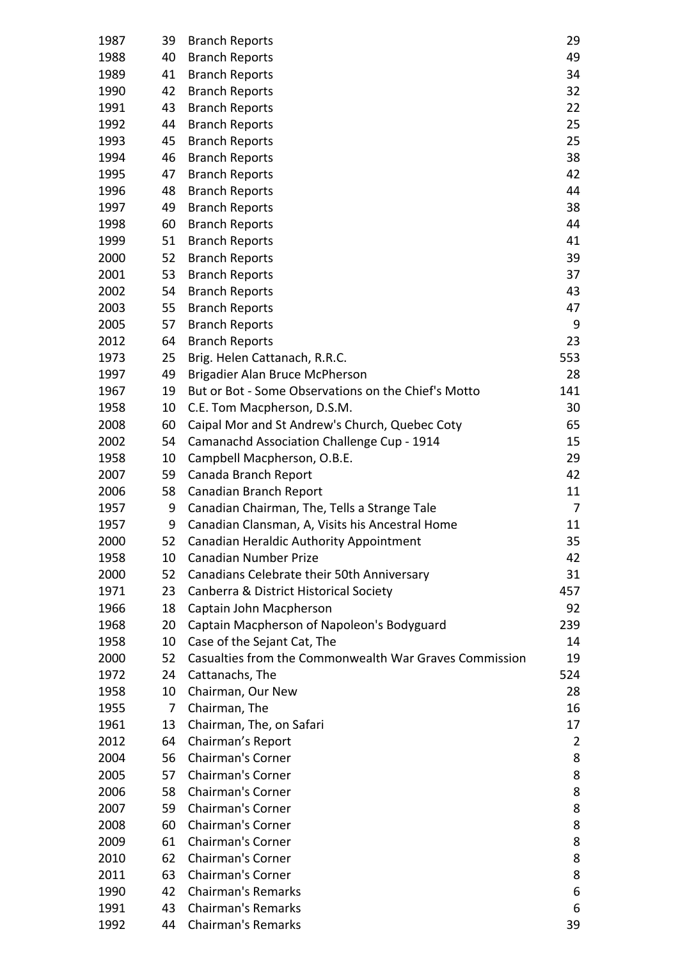| 1987 | 39 | <b>Branch Reports</b>                                  | 29  |
|------|----|--------------------------------------------------------|-----|
| 1988 | 40 | <b>Branch Reports</b>                                  | 49  |
| 1989 | 41 | <b>Branch Reports</b>                                  | 34  |
| 1990 | 42 | <b>Branch Reports</b>                                  | 32  |
|      |    |                                                        | 22  |
| 1991 | 43 | <b>Branch Reports</b>                                  |     |
| 1992 | 44 | <b>Branch Reports</b>                                  | 25  |
| 1993 | 45 | <b>Branch Reports</b>                                  | 25  |
| 1994 | 46 | <b>Branch Reports</b>                                  | 38  |
| 1995 | 47 | <b>Branch Reports</b>                                  | 42  |
| 1996 | 48 | <b>Branch Reports</b>                                  | 44  |
| 1997 | 49 | <b>Branch Reports</b>                                  | 38  |
| 1998 | 60 | <b>Branch Reports</b>                                  | 44  |
| 1999 | 51 | <b>Branch Reports</b>                                  | 41  |
| 2000 | 52 | <b>Branch Reports</b>                                  | 39  |
| 2001 | 53 | <b>Branch Reports</b>                                  | 37  |
| 2002 | 54 | <b>Branch Reports</b>                                  | 43  |
| 2003 | 55 | <b>Branch Reports</b>                                  | 47  |
| 2005 | 57 | <b>Branch Reports</b>                                  | 9   |
| 2012 | 64 | <b>Branch Reports</b>                                  | 23  |
| 1973 | 25 | Brig. Helen Cattanach, R.R.C.                          | 553 |
| 1997 | 49 | Brigadier Alan Bruce McPherson                         | 28  |
| 1967 | 19 | But or Bot - Some Observations on the Chief's Motto    | 141 |
| 1958 | 10 | C.E. Tom Macpherson, D.S.M.                            | 30  |
| 2008 | 60 | Caipal Mor and St Andrew's Church, Quebec Coty         | 65  |
| 2002 | 54 | Camanachd Association Challenge Cup - 1914             | 15  |
| 1958 | 10 | Campbell Macpherson, O.B.E.                            | 29  |
| 2007 | 59 | Canada Branch Report                                   | 42  |
| 2006 | 58 | Canadian Branch Report                                 | 11  |
| 1957 | 9  | Canadian Chairman, The, Tells a Strange Tale           | 7   |
| 1957 | 9  | Canadian Clansman, A, Visits his Ancestral Home        | 11  |
| 2000 | 52 | Canadian Heraldic Authority Appointment                | 35  |
| 1958 | 10 | <b>Canadian Number Prize</b>                           | 42  |
| 2000 | 52 | Canadians Celebrate their 50th Anniversary             | 31  |
| 1971 | 23 | Canberra & District Historical Society                 | 457 |
| 1966 | 18 | Captain John Macpherson                                | 92  |
| 1968 | 20 | Captain Macpherson of Napoleon's Bodyguard             | 239 |
| 1958 | 10 | Case of the Sejant Cat, The                            | 14  |
| 2000 | 52 | Casualties from the Commonwealth War Graves Commission | 19  |
| 1972 | 24 | Cattanachs, The                                        | 524 |
| 1958 | 10 | Chairman, Our New                                      | 28  |
| 1955 | 7  | Chairman, The                                          | 16  |
| 1961 | 13 | Chairman, The, on Safari                               | 17  |
| 2012 | 64 | Chairman's Report                                      | 2   |
| 2004 | 56 | <b>Chairman's Corner</b>                               | 8   |
| 2005 | 57 | <b>Chairman's Corner</b>                               | 8   |
| 2006 | 58 | <b>Chairman's Corner</b>                               | 8   |
| 2007 | 59 | <b>Chairman's Corner</b>                               | 8   |
| 2008 | 60 | <b>Chairman's Corner</b>                               | 8   |
| 2009 | 61 | <b>Chairman's Corner</b>                               | 8   |
| 2010 | 62 | <b>Chairman's Corner</b>                               | 8   |
| 2011 | 63 | <b>Chairman's Corner</b>                               | 8   |
| 1990 | 42 | <b>Chairman's Remarks</b>                              | 6   |
| 1991 | 43 | <b>Chairman's Remarks</b>                              | 6   |
| 1992 | 44 | <b>Chairman's Remarks</b>                              | 39  |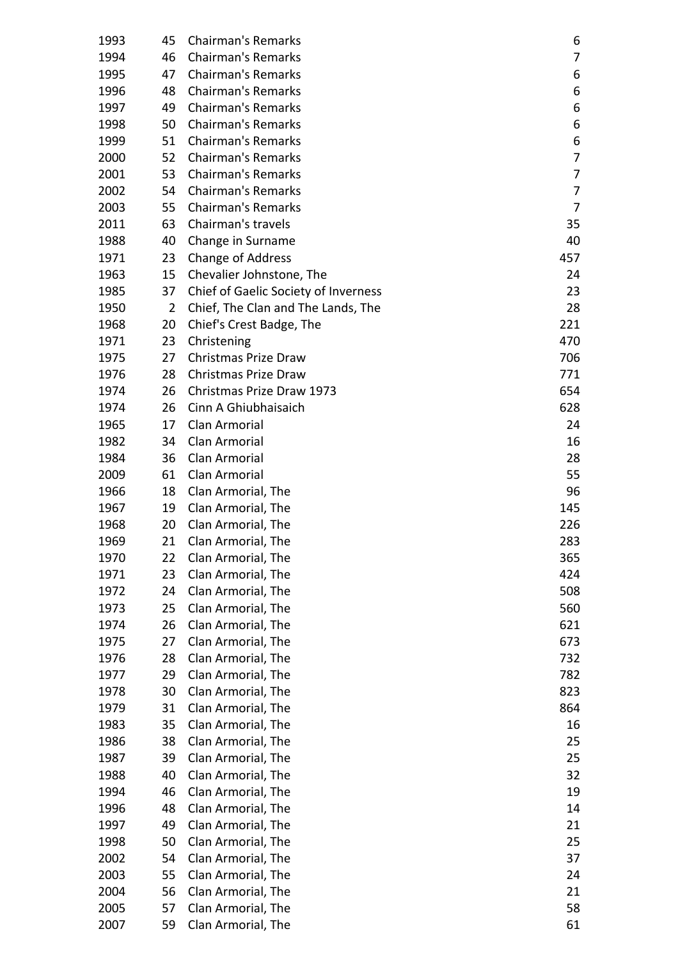| 1993 | 45             | <b>Chairman's Remarks</b>            | 6   |
|------|----------------|--------------------------------------|-----|
| 1994 | 46             | <b>Chairman's Remarks</b>            | 7   |
| 1995 | 47             | <b>Chairman's Remarks</b>            | 6   |
| 1996 | 48             | <b>Chairman's Remarks</b>            | 6   |
| 1997 | 49             | <b>Chairman's Remarks</b>            | 6   |
| 1998 | 50             | <b>Chairman's Remarks</b>            | 6   |
| 1999 | 51             | <b>Chairman's Remarks</b>            | 6   |
| 2000 | 52             | <b>Chairman's Remarks</b>            | 7   |
| 2001 | 53             | <b>Chairman's Remarks</b>            | 7   |
| 2002 | 54             | <b>Chairman's Remarks</b>            | 7   |
| 2003 | 55             | <b>Chairman's Remarks</b>            | 7   |
| 2011 | 63             | Chairman's travels                   | 35  |
| 1988 | 40             | Change in Surname                    | 40  |
| 1971 | 23             | <b>Change of Address</b>             | 457 |
| 1963 | 15             | Chevalier Johnstone, The             | 24  |
| 1985 | 37             | Chief of Gaelic Society of Inverness | 23  |
| 1950 | $\overline{2}$ | Chief, The Clan and The Lands, The   | 28  |
| 1968 | 20             | Chief's Crest Badge, The             | 221 |
| 1971 | 23             | Christening                          | 470 |
| 1975 | 27             | Christmas Prize Draw                 | 706 |
| 1976 | 28             | Christmas Prize Draw                 | 771 |
| 1974 | 26             | Christmas Prize Draw 1973            | 654 |
| 1974 | 26             | Cinn A Ghiubhaisaich                 | 628 |
|      |                | Clan Armorial                        |     |
| 1965 | 17             |                                      | 24  |
| 1982 | 34             | Clan Armorial                        | 16  |
| 1984 | 36             | Clan Armorial                        | 28  |
| 2009 | 61             | Clan Armorial                        | 55  |
| 1966 | 18             | Clan Armorial, The                   | 96  |
| 1967 | 19             | Clan Armorial, The                   | 145 |
| 1968 | 20             | Clan Armorial, The                   | 226 |
| 1969 | 21             | Clan Armorial, The                   | 283 |
| 1970 | 22             | Clan Armorial, The                   | 365 |
| 1971 | 23             | Clan Armorial, The                   | 424 |
| 1972 | 24             | Clan Armorial, The                   | 508 |
| 1973 | 25             | Clan Armorial, The                   | 560 |
| 1974 | 26             | Clan Armorial, The                   | 621 |
| 1975 | 27             | Clan Armorial, The                   | 673 |
| 1976 | 28             | Clan Armorial, The                   | 732 |
| 1977 | 29             | Clan Armorial, The                   | 782 |
| 1978 | 30             | Clan Armorial, The                   | 823 |
| 1979 | 31             | Clan Armorial, The                   | 864 |
| 1983 | 35             | Clan Armorial, The                   | 16  |
| 1986 | 38             | Clan Armorial, The                   | 25  |
| 1987 | 39             | Clan Armorial, The                   | 25  |
| 1988 | 40             | Clan Armorial, The                   | 32  |
| 1994 | 46             | Clan Armorial, The                   | 19  |
| 1996 | 48             | Clan Armorial, The                   | 14  |
| 1997 | 49             | Clan Armorial, The                   | 21  |
| 1998 | 50             | Clan Armorial, The                   | 25  |
| 2002 | 54             | Clan Armorial, The                   | 37  |
| 2003 | 55             | Clan Armorial, The                   | 24  |
| 2004 | 56             | Clan Armorial, The                   | 21  |
| 2005 | 57             | Clan Armorial, The                   | 58  |
| 2007 | 59             | Clan Armorial, The                   | 61  |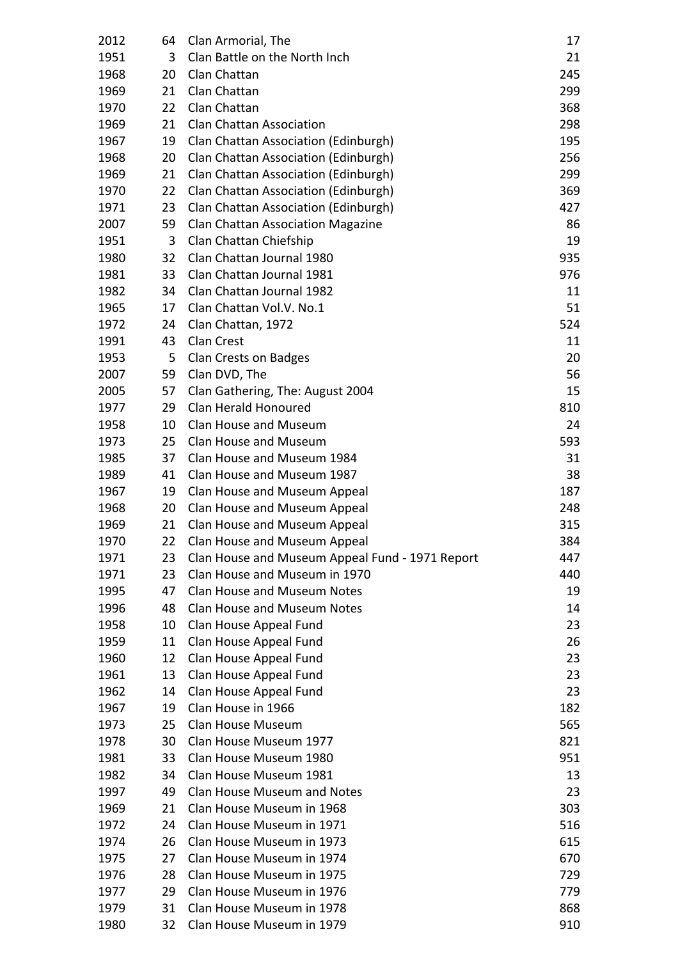| 2012 | 64 | Clan Armorial, The                              | 17  |
|------|----|-------------------------------------------------|-----|
| 1951 | 3  | Clan Battle on the North Inch                   | 21  |
| 1968 | 20 | Clan Chattan                                    | 245 |
| 1969 | 21 | Clan Chattan                                    | 299 |
| 1970 | 22 | Clan Chattan                                    | 368 |
| 1969 | 21 | <b>Clan Chattan Association</b>                 | 298 |
| 1967 | 19 | Clan Chattan Association (Edinburgh)            | 195 |
| 1968 | 20 | Clan Chattan Association (Edinburgh)            | 256 |
| 1969 | 21 | Clan Chattan Association (Edinburgh)            | 299 |
| 1970 | 22 | Clan Chattan Association (Edinburgh)            | 369 |
| 1971 | 23 | Clan Chattan Association (Edinburgh)            | 427 |
| 2007 | 59 | <b>Clan Chattan Association Magazine</b>        | 86  |
| 1951 | 3  | Clan Chattan Chiefship                          | 19  |
| 1980 | 32 | Clan Chattan Journal 1980                       | 935 |
| 1981 | 33 | Clan Chattan Journal 1981                       | 976 |
| 1982 | 34 | Clan Chattan Journal 1982                       | 11  |
| 1965 | 17 | Clan Chattan Vol.V. No.1                        | 51  |
| 1972 | 24 | Clan Chattan, 1972                              | 524 |
| 1991 | 43 | <b>Clan Crest</b>                               | 11  |
| 1953 | 5  | Clan Crests on Badges                           | 20  |
| 2007 | 59 | Clan DVD, The                                   | 56  |
| 2005 | 57 | Clan Gathering, The: August 2004                | 15  |
| 1977 | 29 | Clan Herald Honoured                            | 810 |
| 1958 | 10 | <b>Clan House and Museum</b>                    | 24  |
| 1973 | 25 | <b>Clan House and Museum</b>                    | 593 |
| 1985 | 37 | Clan House and Museum 1984                      | 31  |
| 1989 | 41 | Clan House and Museum 1987                      | 38  |
| 1967 | 19 | Clan House and Museum Appeal                    | 187 |
| 1968 | 20 | Clan House and Museum Appeal                    | 248 |
| 1969 | 21 | Clan House and Museum Appeal                    | 315 |
| 1970 | 22 | Clan House and Museum Appeal                    | 384 |
| 1971 | 23 | Clan House and Museum Appeal Fund - 1971 Report | 447 |
| 1971 | 23 | Clan House and Museum in 1970                   | 440 |
| 1995 | 47 | <b>Clan House and Museum Notes</b>              | 19  |
| 1996 | 48 | <b>Clan House and Museum Notes</b>              | 14  |
| 1958 | 10 | Clan House Appeal Fund                          | 23  |
| 1959 | 11 | Clan House Appeal Fund                          | 26  |
| 1960 | 12 | Clan House Appeal Fund                          | 23  |
| 1961 | 13 | Clan House Appeal Fund                          | 23  |
| 1962 | 14 | Clan House Appeal Fund                          | 23  |
| 1967 | 19 | Clan House in 1966                              | 182 |
| 1973 | 25 | Clan House Museum                               | 565 |
| 1978 | 30 | Clan House Museum 1977                          | 821 |
| 1981 | 33 | Clan House Museum 1980                          | 951 |
| 1982 | 34 | Clan House Museum 1981                          | 13  |
| 1997 | 49 | <b>Clan House Museum and Notes</b>              | 23  |
| 1969 | 21 | Clan House Museum in 1968                       | 303 |
| 1972 | 24 | Clan House Museum in 1971                       | 516 |
| 1974 | 26 | Clan House Museum in 1973                       | 615 |
| 1975 | 27 | Clan House Museum in 1974                       | 670 |
| 1976 | 28 | Clan House Museum in 1975                       | 729 |
| 1977 | 29 | Clan House Museum in 1976                       | 779 |
| 1979 | 31 | Clan House Museum in 1978                       | 868 |
| 1980 | 32 | Clan House Museum in 1979                       | 910 |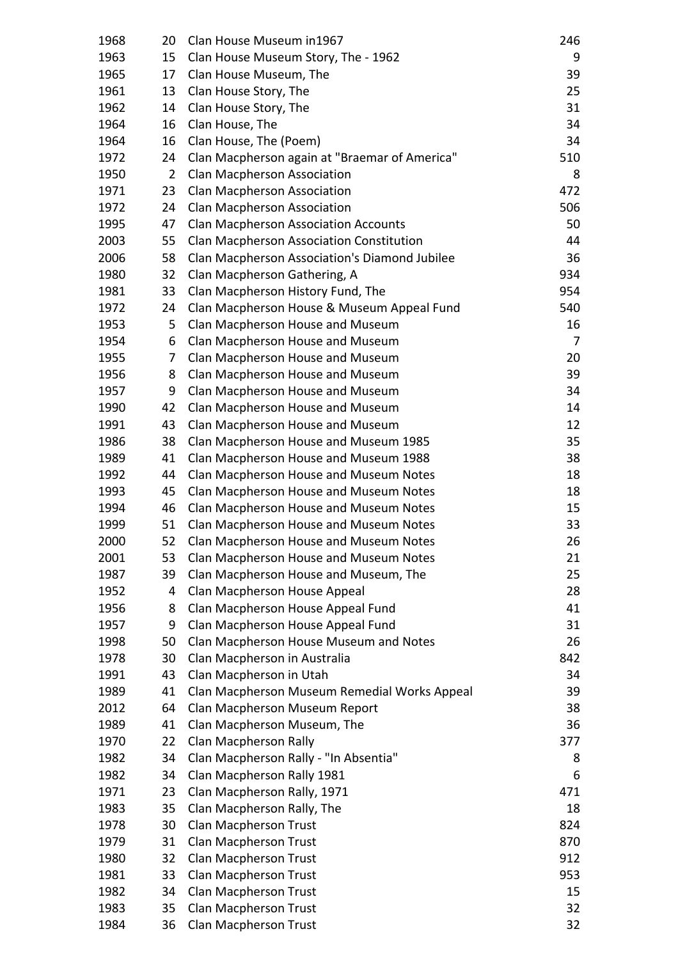| 1968 | 20             | Clan House Museum in 1967                     | 246 |
|------|----------------|-----------------------------------------------|-----|
| 1963 | 15             | Clan House Museum Story, The - 1962           | 9   |
| 1965 | 17             | Clan House Museum, The                        | 39  |
| 1961 | 13             | Clan House Story, The                         | 25  |
| 1962 | 14             | Clan House Story, The                         | 31  |
| 1964 | 16             | Clan House, The                               | 34  |
| 1964 | 16             | Clan House, The (Poem)                        | 34  |
| 1972 | 24             | Clan Macpherson again at "Braemar of America" | 510 |
| 1950 | $\overline{2}$ | Clan Macpherson Association                   | 8   |
| 1971 | 23             | Clan Macpherson Association                   | 472 |
| 1972 | 24             | Clan Macpherson Association                   | 506 |
| 1995 | 47             | <b>Clan Macpherson Association Accounts</b>   | 50  |
| 2003 | 55             | Clan Macpherson Association Constitution      | 44  |
| 2006 | 58             | Clan Macpherson Association's Diamond Jubilee | 36  |
| 1980 | 32             | Clan Macpherson Gathering, A                  | 934 |
| 1981 | 33             | Clan Macpherson History Fund, The             | 954 |
| 1972 | 24             | Clan Macpherson House & Museum Appeal Fund    | 540 |
| 1953 | 5              | Clan Macpherson House and Museum              | 16  |
| 1954 | 6              | Clan Macpherson House and Museum              | 7   |
| 1955 | 7              | Clan Macpherson House and Museum              | 20  |
| 1956 | 8              | Clan Macpherson House and Museum              | 39  |
| 1957 | 9              | Clan Macpherson House and Museum              | 34  |
| 1990 | 42             | Clan Macpherson House and Museum              | 14  |
| 1991 | 43             | Clan Macpherson House and Museum              | 12  |
| 1986 | 38             | Clan Macpherson House and Museum 1985         | 35  |
| 1989 | 41             | Clan Macpherson House and Museum 1988         | 38  |
| 1992 | 44             | Clan Macpherson House and Museum Notes        | 18  |
| 1993 | 45             | Clan Macpherson House and Museum Notes        | 18  |
| 1994 | 46             | Clan Macpherson House and Museum Notes        | 15  |
| 1999 | 51             | Clan Macpherson House and Museum Notes        | 33  |
| 2000 | 52             | Clan Macpherson House and Museum Notes        | 26  |
| 2001 | 53             | Clan Macpherson House and Museum Notes        | 21  |
| 1987 | 39             | Clan Macpherson House and Museum, The         | 25  |
| 1952 | 4              | Clan Macpherson House Appeal                  | 28  |
| 1956 | 8              | Clan Macpherson House Appeal Fund             | 41  |
| 1957 | 9              | Clan Macpherson House Appeal Fund             | 31  |
| 1998 | 50             | Clan Macpherson House Museum and Notes        | 26  |
| 1978 | 30             | Clan Macpherson in Australia                  | 842 |
| 1991 | 43             | Clan Macpherson in Utah                       | 34  |
| 1989 | 41             | Clan Macpherson Museum Remedial Works Appeal  | 39  |
| 2012 | 64             | Clan Macpherson Museum Report                 | 38  |
| 1989 | 41             | Clan Macpherson Museum, The                   | 36  |
| 1970 | 22             | Clan Macpherson Rally                         | 377 |
| 1982 | 34             | Clan Macpherson Rally - "In Absentia"         | 8   |
| 1982 | 34             | Clan Macpherson Rally 1981                    | 6   |
| 1971 | 23             | Clan Macpherson Rally, 1971                   | 471 |
| 1983 | 35             | Clan Macpherson Rally, The                    | 18  |
| 1978 | 30             | Clan Macpherson Trust                         | 824 |
| 1979 | 31             | Clan Macpherson Trust                         | 870 |
| 1980 | 32             | Clan Macpherson Trust                         | 912 |
| 1981 | 33             | Clan Macpherson Trust                         | 953 |
| 1982 | 34             | Clan Macpherson Trust                         | 15  |
| 1983 | 35             | Clan Macpherson Trust                         | 32  |
| 1984 | 36             | Clan Macpherson Trust                         | 32  |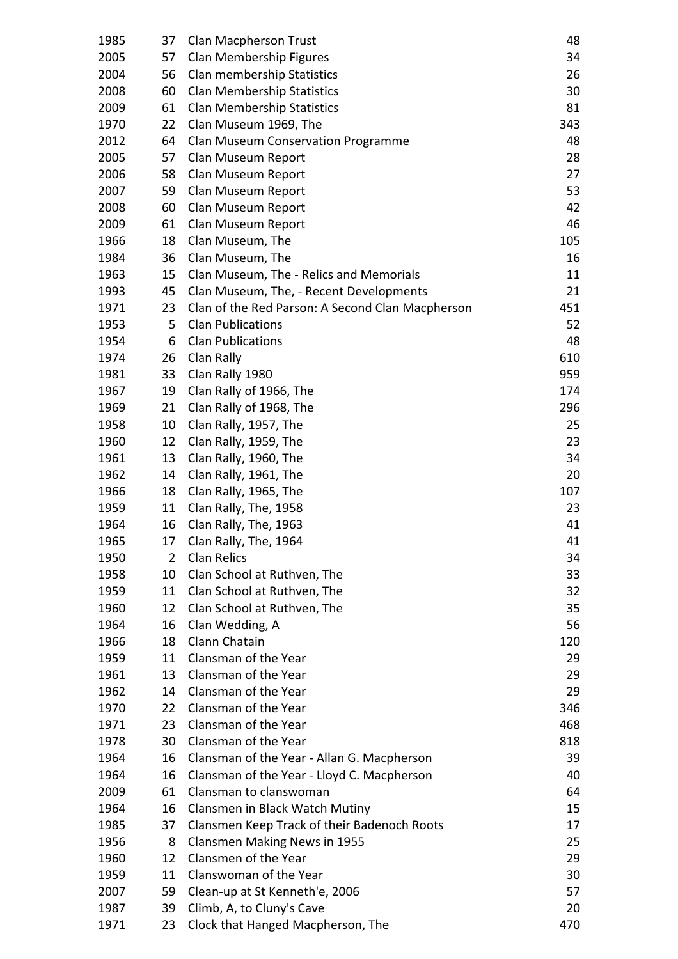| 1985 | 37 | Clan Macpherson Trust                            | 48  |
|------|----|--------------------------------------------------|-----|
| 2005 | 57 | Clan Membership Figures                          | 34  |
| 2004 | 56 | Clan membership Statistics                       | 26  |
| 2008 | 60 | <b>Clan Membership Statistics</b>                | 30  |
| 2009 | 61 | <b>Clan Membership Statistics</b>                | 81  |
| 1970 | 22 | Clan Museum 1969, The                            | 343 |
| 2012 | 64 | Clan Museum Conservation Programme               | 48  |
| 2005 | 57 | Clan Museum Report                               | 28  |
| 2006 | 58 | Clan Museum Report                               | 27  |
| 2007 | 59 | Clan Museum Report                               | 53  |
| 2008 | 60 | Clan Museum Report                               | 42  |
| 2009 | 61 | Clan Museum Report                               | 46  |
| 1966 | 18 | Clan Museum, The                                 | 105 |
| 1984 | 36 | Clan Museum, The                                 | 16  |
| 1963 | 15 | Clan Museum, The - Relics and Memorials          | 11  |
| 1993 | 45 | Clan Museum, The, - Recent Developments          | 21  |
| 1971 | 23 | Clan of the Red Parson: A Second Clan Macpherson | 451 |
| 1953 | 5  | <b>Clan Publications</b>                         | 52  |
| 1954 | 6  | <b>Clan Publications</b>                         | 48  |
| 1974 | 26 | Clan Rally                                       | 610 |
| 1981 | 33 | Clan Rally 1980                                  | 959 |
| 1967 | 19 | Clan Rally of 1966, The                          | 174 |
| 1969 | 21 | Clan Rally of 1968, The                          | 296 |
| 1958 | 10 | Clan Rally, 1957, The                            | 25  |
| 1960 | 12 | Clan Rally, 1959, The                            | 23  |
| 1961 | 13 | Clan Rally, 1960, The                            | 34  |
| 1962 | 14 | Clan Rally, 1961, The                            | 20  |
| 1966 | 18 | Clan Rally, 1965, The                            | 107 |
| 1959 | 11 | Clan Rally, The, 1958                            | 23  |
| 1964 | 16 | Clan Rally, The, 1963                            | 41  |
| 1965 |    | 17 Clan Rally, The, 1964                         | 41  |
| 1950 | 2  | Clan Relics                                      | 34  |
| 1958 | 10 | Clan School at Ruthven, The                      | 33  |
| 1959 | 11 | Clan School at Ruthven, The                      | 32  |
| 1960 | 12 | Clan School at Ruthven, The                      | 35  |
| 1964 | 16 | Clan Wedding, A                                  | 56  |
| 1966 | 18 | Clann Chatain                                    | 120 |
| 1959 | 11 | Clansman of the Year                             | 29  |
| 1961 | 13 | Clansman of the Year                             | 29  |
| 1962 | 14 | Clansman of the Year                             | 29  |
| 1970 | 22 | Clansman of the Year                             | 346 |
| 1971 | 23 | Clansman of the Year                             | 468 |
| 1978 | 30 | Clansman of the Year                             | 818 |
| 1964 | 16 | Clansman of the Year - Allan G. Macpherson       | 39  |
| 1964 | 16 | Clansman of the Year - Lloyd C. Macpherson       | 40  |
| 2009 | 61 | Clansman to clanswoman                           | 64  |
| 1964 | 16 | Clansmen in Black Watch Mutiny                   | 15  |
| 1985 | 37 | Clansmen Keep Track of their Badenoch Roots      | 17  |
| 1956 | 8  | Clansmen Making News in 1955                     | 25  |
| 1960 | 12 | Clansmen of the Year                             | 29  |
| 1959 | 11 | Clanswoman of the Year                           | 30  |
| 2007 | 59 | Clean-up at St Kenneth'e, 2006                   | 57  |
| 1987 | 39 | Climb, A, to Cluny's Cave                        | 20  |
| 1971 | 23 | Clock that Hanged Macpherson, The                | 470 |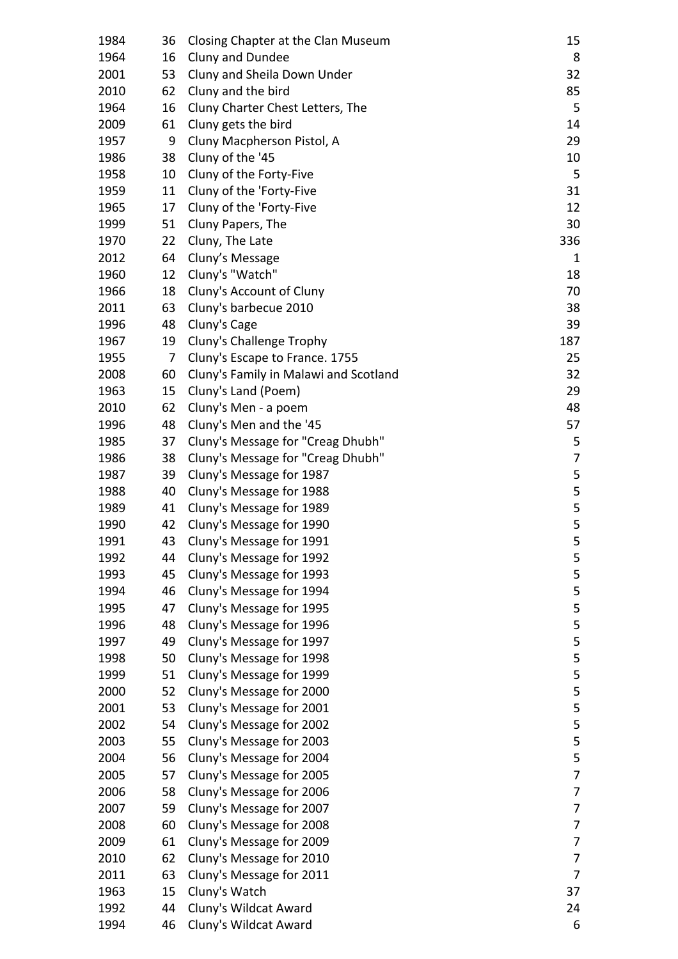| 1984 | 36 | Closing Chapter at the Clan Museum    | 15             |
|------|----|---------------------------------------|----------------|
| 1964 | 16 | Cluny and Dundee                      | 8              |
| 2001 | 53 | Cluny and Sheila Down Under           | 32             |
| 2010 | 62 | Cluny and the bird                    | 85             |
| 1964 | 16 | Cluny Charter Chest Letters, The      | 5              |
| 2009 | 61 | Cluny gets the bird                   | 14             |
| 1957 | 9  | Cluny Macpherson Pistol, A            | 29             |
| 1986 | 38 | Cluny of the '45                      | 10             |
| 1958 | 10 | Cluny of the Forty-Five               | 5              |
| 1959 | 11 | Cluny of the 'Forty-Five              | 31             |
| 1965 | 17 | Cluny of the 'Forty-Five              | 12             |
| 1999 | 51 | Cluny Papers, The                     | 30             |
| 1970 | 22 | Cluny, The Late                       | 336            |
| 2012 | 64 | Cluny's Message                       | 1              |
| 1960 | 12 | Cluny's "Watch"                       | 18             |
| 1966 | 18 | Cluny's Account of Cluny              | 70             |
| 2011 | 63 | Cluny's barbecue 2010                 | 38             |
| 1996 | 48 | Cluny's Cage                          | 39             |
| 1967 | 19 | Cluny's Challenge Trophy              | 187            |
| 1955 | 7  | Cluny's Escape to France. 1755        | 25             |
| 2008 | 60 | Cluny's Family in Malawi and Scotland | 32             |
| 1963 | 15 | Cluny's Land (Poem)                   | 29             |
| 2010 | 62 | Cluny's Men - a poem                  | 48             |
| 1996 | 48 | Cluny's Men and the '45               | 57             |
| 1985 | 37 | Cluny's Message for "Creag Dhubh"     | 5              |
| 1986 | 38 | Cluny's Message for "Creag Dhubh"     | 7              |
| 1987 | 39 | Cluny's Message for 1987              | 5              |
| 1988 | 40 | Cluny's Message for 1988              | 5              |
| 1989 | 41 | Cluny's Message for 1989              | 5              |
| 1990 | 42 | Cluny's Message for 1990              | 5              |
| 1991 | 43 | Cluny's Message for 1991              | 5              |
| 1992 | 44 | Cluny's Message for 1992              | 5              |
| 1993 | 45 | Cluny's Message for 1993              | 5              |
| 1994 | 46 | Cluny's Message for 1994              | 5              |
| 1995 | 47 | Cluny's Message for 1995              | 5              |
| 1996 | 48 | Cluny's Message for 1996              | 5              |
| 1997 | 49 | Cluny's Message for 1997              | 5              |
| 1998 | 50 | Cluny's Message for 1998              | 5              |
| 1999 | 51 | Cluny's Message for 1999              | 5              |
| 2000 | 52 | Cluny's Message for 2000              | 5              |
| 2001 | 53 | Cluny's Message for 2001              | 5              |
| 2002 | 54 | Cluny's Message for 2002              | 5              |
| 2003 | 55 | Cluny's Message for 2003              | 5              |
| 2004 | 56 | Cluny's Message for 2004              | 5              |
| 2005 | 57 | Cluny's Message for 2005              | 7              |
| 2006 | 58 | Cluny's Message for 2006              | 7              |
| 2007 | 59 | Cluny's Message for 2007              | 7              |
| 2008 | 60 | Cluny's Message for 2008              | 7              |
| 2009 | 61 | Cluny's Message for 2009              | 7              |
| 2010 | 62 | Cluny's Message for 2010              | 7              |
| 2011 | 63 | Cluny's Message for 2011              | $\overline{7}$ |
| 1963 | 15 | Cluny's Watch                         | 37             |
| 1992 | 44 | Cluny's Wildcat Award                 | 24             |
| 1994 | 46 | Cluny's Wildcat Award                 | 6              |
|      |    |                                       |                |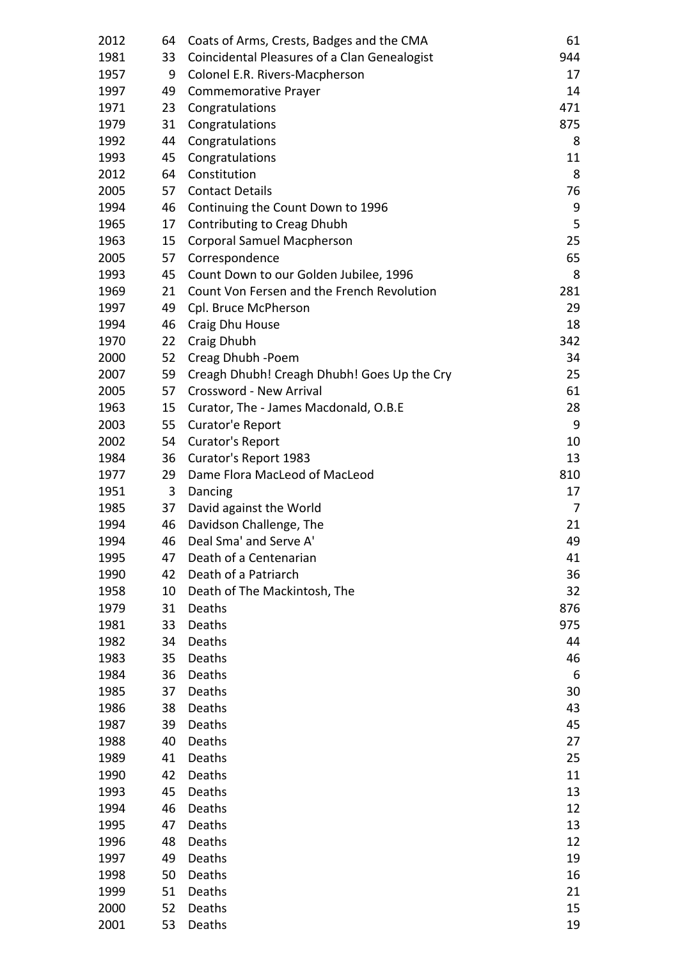| 2012 | 64 | Coats of Arms, Crests, Badges and the CMA    | 61  |
|------|----|----------------------------------------------|-----|
| 1981 | 33 | Coincidental Pleasures of a Clan Genealogist | 944 |
| 1957 | 9  | Colonel E.R. Rivers-Macpherson               | 17  |
| 1997 | 49 | <b>Commemorative Prayer</b>                  | 14  |
| 1971 | 23 | Congratulations                              | 471 |
| 1979 | 31 | Congratulations                              | 875 |
| 1992 | 44 | Congratulations                              | 8   |
| 1993 | 45 | Congratulations                              | 11  |
| 2012 | 64 | Constitution                                 | 8   |
| 2005 | 57 | <b>Contact Details</b>                       | 76  |
| 1994 | 46 | Continuing the Count Down to 1996            | 9   |
| 1965 | 17 | Contributing to Creag Dhubh                  | 5   |
| 1963 | 15 | <b>Corporal Samuel Macpherson</b>            | 25  |
| 2005 | 57 | Correspondence                               | 65  |
| 1993 | 45 | Count Down to our Golden Jubilee, 1996       | 8   |
| 1969 | 21 | Count Von Fersen and the French Revolution   | 281 |
| 1997 | 49 | Cpl. Bruce McPherson                         | 29  |
| 1994 | 46 | Craig Dhu House                              | 18  |
| 1970 | 22 | Craig Dhubh                                  | 342 |
| 2000 | 52 | Creag Dhubh -Poem                            | 34  |
| 2007 | 59 | Creagh Dhubh! Creagh Dhubh! Goes Up the Cry  | 25  |
| 2005 | 57 | Crossword - New Arrival                      | 61  |
| 1963 | 15 | Curator, The - James Macdonald, O.B.E        | 28  |
| 2003 | 55 | Curator'e Report                             | 9   |
| 2002 | 54 | Curator's Report                             | 10  |
| 1984 | 36 | Curator's Report 1983                        | 13  |
| 1977 | 29 | Dame Flora MacLeod of MacLeod                | 810 |
| 1951 | 3  | Dancing                                      | 17  |
| 1985 | 37 | David against the World                      | 7   |
| 1994 | 46 | Davidson Challenge, The                      | 21  |
| 1994 | 46 | Deal Sma' and Serve A'                       | 49  |
| 1995 | 47 | Death of a Centenarian                       | 41  |
| 1990 | 42 | Death of a Patriarch                         | 36  |
| 1958 | 10 | Death of The Mackintosh, The                 | 32  |
| 1979 | 31 | Deaths                                       | 876 |
| 1981 | 33 | Deaths                                       | 975 |
| 1982 | 34 | Deaths                                       | 44  |
| 1983 | 35 | Deaths                                       | 46  |
| 1984 | 36 | Deaths                                       | 6   |
| 1985 | 37 | Deaths                                       | 30  |
| 1986 | 38 | Deaths                                       | 43  |
| 1987 | 39 | Deaths                                       | 45  |
| 1988 | 40 | Deaths                                       | 27  |
| 1989 | 41 | Deaths                                       | 25  |
| 1990 | 42 | Deaths                                       | 11  |
| 1993 | 45 | Deaths                                       | 13  |
| 1994 | 46 | Deaths                                       | 12  |
| 1995 | 47 | Deaths                                       | 13  |
| 1996 | 48 | Deaths                                       | 12  |
| 1997 | 49 | Deaths                                       | 19  |
| 1998 | 50 | Deaths                                       | 16  |
| 1999 | 51 | Deaths                                       | 21  |
| 2000 | 52 | Deaths                                       | 15  |
| 2001 | 53 | Deaths                                       | 19  |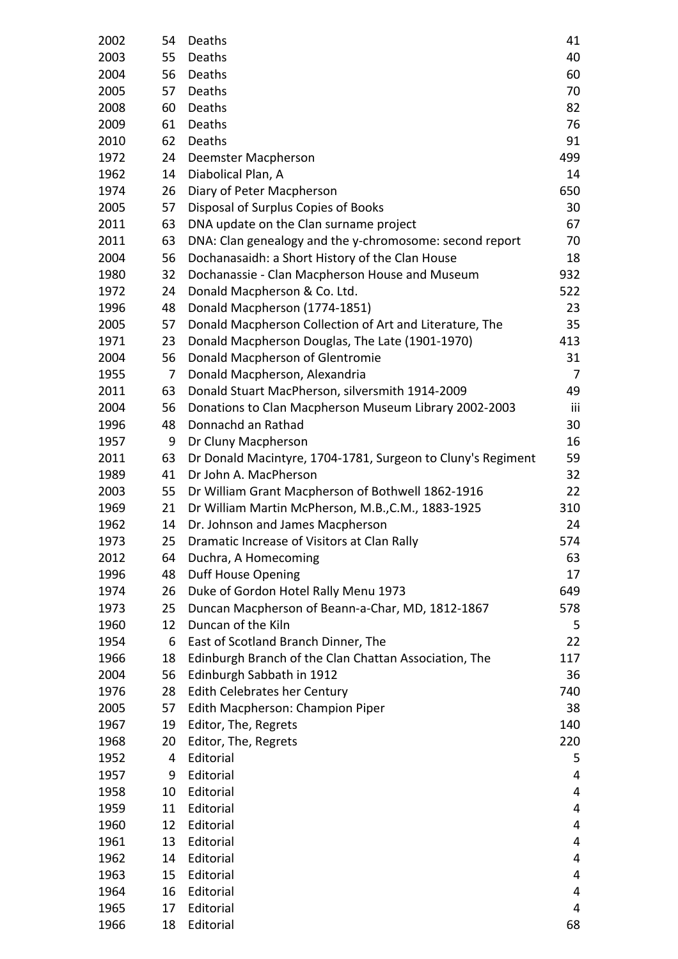| 2002 | 54 | Deaths                                                      | 41  |
|------|----|-------------------------------------------------------------|-----|
| 2003 | 55 | Deaths                                                      | 40  |
| 2004 | 56 | Deaths                                                      | 60  |
| 2005 | 57 | Deaths                                                      | 70  |
| 2008 | 60 | Deaths                                                      | 82  |
| 2009 | 61 | Deaths                                                      | 76  |
| 2010 | 62 | Deaths                                                      | 91  |
| 1972 | 24 | Deemster Macpherson                                         | 499 |
| 1962 | 14 | Diabolical Plan, A                                          | 14  |
| 1974 | 26 | Diary of Peter Macpherson                                   | 650 |
| 2005 | 57 | Disposal of Surplus Copies of Books                         | 30  |
| 2011 | 63 | DNA update on the Clan surname project                      | 67  |
| 2011 | 63 | DNA: Clan genealogy and the y-chromosome: second report     | 70  |
| 2004 | 56 | Dochanasaidh: a Short History of the Clan House             | 18  |
| 1980 | 32 | Dochanassie - Clan Macpherson House and Museum              | 932 |
| 1972 | 24 | Donald Macpherson & Co. Ltd.                                | 522 |
| 1996 | 48 | Donald Macpherson (1774-1851)                               | 23  |
| 2005 | 57 | Donald Macpherson Collection of Art and Literature, The     | 35  |
| 1971 | 23 | Donald Macpherson Douglas, The Late (1901-1970)             | 413 |
| 2004 | 56 | Donald Macpherson of Glentromie                             | 31  |
| 1955 | 7  | Donald Macpherson, Alexandria                               | 7   |
| 2011 | 63 | Donald Stuart MacPherson, silversmith 1914-2009             | 49  |
| 2004 | 56 | Donations to Clan Macpherson Museum Library 2002-2003       | iii |
| 1996 | 48 | Donnachd an Rathad                                          | 30  |
| 1957 | 9  | Dr Cluny Macpherson                                         | 16  |
| 2011 | 63 | Dr Donald Macintyre, 1704-1781, Surgeon to Cluny's Regiment | 59  |
| 1989 | 41 | Dr John A. MacPherson                                       | 32  |
| 2003 | 55 | Dr William Grant Macpherson of Bothwell 1862-1916           | 22  |
| 1969 | 21 | Dr William Martin McPherson, M.B., C.M., 1883-1925          | 310 |
| 1962 | 14 | Dr. Johnson and James Macpherson                            | 24  |
| 1973 | 25 | Dramatic Increase of Visitors at Clan Rally                 | 574 |
| 2012 | 64 | Duchra, A Homecoming                                        | 63  |
| 1996 | 48 | Duff House Opening                                          | 17  |
| 1974 | 26 | Duke of Gordon Hotel Rally Menu 1973                        | 649 |
| 1973 | 25 | Duncan Macpherson of Beann-a-Char, MD, 1812-1867            | 578 |
| 1960 | 12 | Duncan of the Kiln                                          | 5   |
| 1954 | 6  | East of Scotland Branch Dinner, The                         | 22  |
| 1966 | 18 | Edinburgh Branch of the Clan Chattan Association, The       | 117 |
| 2004 | 56 | Edinburgh Sabbath in 1912                                   | 36  |
| 1976 | 28 | Edith Celebrates her Century                                | 740 |
| 2005 | 57 | Edith Macpherson: Champion Piper                            | 38  |
| 1967 | 19 | Editor, The, Regrets                                        | 140 |
| 1968 | 20 | Editor, The, Regrets                                        | 220 |
| 1952 | 4  | Editorial                                                   | 5   |
| 1957 | 9  | Editorial                                                   | 4   |
| 1958 | 10 | Editorial                                                   | 4   |
| 1959 | 11 | Editorial                                                   | 4   |
| 1960 | 12 | Editorial                                                   | 4   |
| 1961 | 13 | Editorial                                                   | 4   |
| 1962 | 14 | Editorial                                                   | 4   |
| 1963 | 15 | Editorial                                                   | 4   |
| 1964 | 16 | Editorial                                                   | 4   |
| 1965 | 17 | Editorial                                                   | 4   |
| 1966 | 18 | Editorial                                                   | 68  |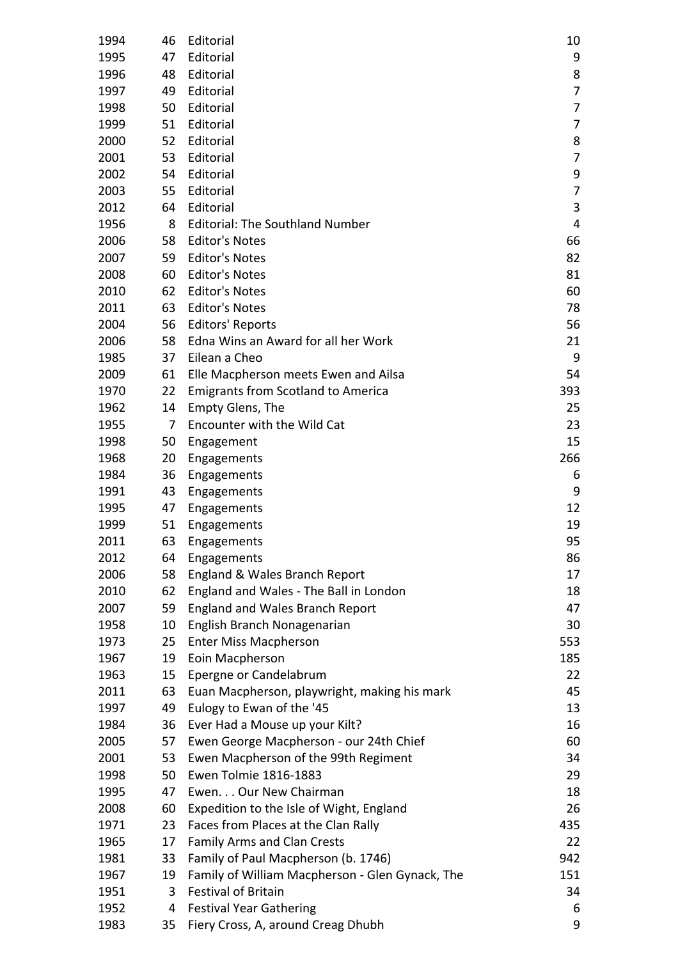| 1994 | 46              | Editorial                                       | 10  |
|------|-----------------|-------------------------------------------------|-----|
| 1995 | 47              | Editorial                                       | 9   |
| 1996 | 48              | Editorial                                       | 8   |
| 1997 | 49              | Editorial                                       | 7   |
| 1998 | 50              | Editorial                                       | 7   |
| 1999 | 51              | Editorial                                       | 7   |
| 2000 | 52              | Editorial                                       | 8   |
| 2001 | 53              | Editorial                                       | 7   |
| 2002 | 54              | Editorial                                       | 9   |
| 2003 | 55              | Editorial                                       | 7   |
| 2012 | 64              | Editorial                                       | 3   |
| 1956 | 8               | <b>Editorial: The Southland Number</b>          | 4   |
| 2006 | 58              | <b>Editor's Notes</b>                           | 66  |
| 2007 | 59              | <b>Editor's Notes</b>                           | 82  |
| 2008 | 60              | <b>Editor's Notes</b>                           | 81  |
| 2010 | 62              | <b>Editor's Notes</b>                           | 60  |
| 2011 | 63              | <b>Editor's Notes</b>                           | 78  |
| 2004 | 56              | <b>Editors' Reports</b>                         | 56  |
| 2006 | 58              | Edna Wins an Award for all her Work             | 21  |
| 1985 | 37              | Eilean a Cheo                                   | 9   |
| 2009 | 61              | Elle Macpherson meets Ewen and Ailsa            | 54  |
| 1970 | 22              | <b>Emigrants from Scotland to America</b>       | 393 |
| 1962 | 14              | <b>Empty Glens, The</b>                         | 25  |
| 1955 | 7               | Encounter with the Wild Cat                     | 23  |
| 1998 | 50              | Engagement                                      | 15  |
| 1968 | 20              | Engagements                                     | 266 |
| 1984 | 36              | Engagements                                     | 6   |
| 1991 | 43              | Engagements                                     | 9   |
| 1995 | 47              | Engagements                                     | 12  |
| 1999 | 51              | Engagements                                     | 19  |
| 2011 | 63              | Engagements                                     | 95  |
| 2012 | 64              | Engagements                                     | 86  |
| 2006 | 58              | England & Wales Branch Report                   | 17  |
| 2010 | 62              | England and Wales - The Ball in London          | 18  |
| 2007 | 59              | <b>England and Wales Branch Report</b>          | 47  |
| 1958 | 10              | English Branch Nonagenarian                     | 30  |
| 1973 | 25              | <b>Enter Miss Macpherson</b>                    | 553 |
| 1967 | 19              | Eoin Macpherson                                 | 185 |
| 1963 | 15 <sub>1</sub> | Epergne or Candelabrum                          | 22  |
| 2011 | 63              | Euan Macpherson, playwright, making his mark    | 45  |
| 1997 | 49              | Eulogy to Ewan of the '45                       | 13  |
| 1984 | 36              | Ever Had a Mouse up your Kilt?                  | 16  |
| 2005 | 57              | Ewen George Macpherson - our 24th Chief         | 60  |
| 2001 | 53              | Ewen Macpherson of the 99th Regiment            | 34  |
| 1998 | 50              | Ewen Tolmie 1816-1883                           | 29  |
| 1995 | 47              | Ewen. Our New Chairman                          | 18  |
| 2008 | 60              | Expedition to the Isle of Wight, England        | 26  |
| 1971 | 23              | Faces from Places at the Clan Rally             | 435 |
| 1965 | 17              | <b>Family Arms and Clan Crests</b>              | 22  |
| 1981 | 33              | Family of Paul Macpherson (b. 1746)             | 942 |
| 1967 | 19              | Family of William Macpherson - Glen Gynack, The | 151 |
| 1951 | 3               | <b>Festival of Britain</b>                      | 34  |
| 1952 | 4               | <b>Festival Year Gathering</b>                  | 6   |
| 1983 | 35              | Fiery Cross, A, around Creag Dhubh              | 9   |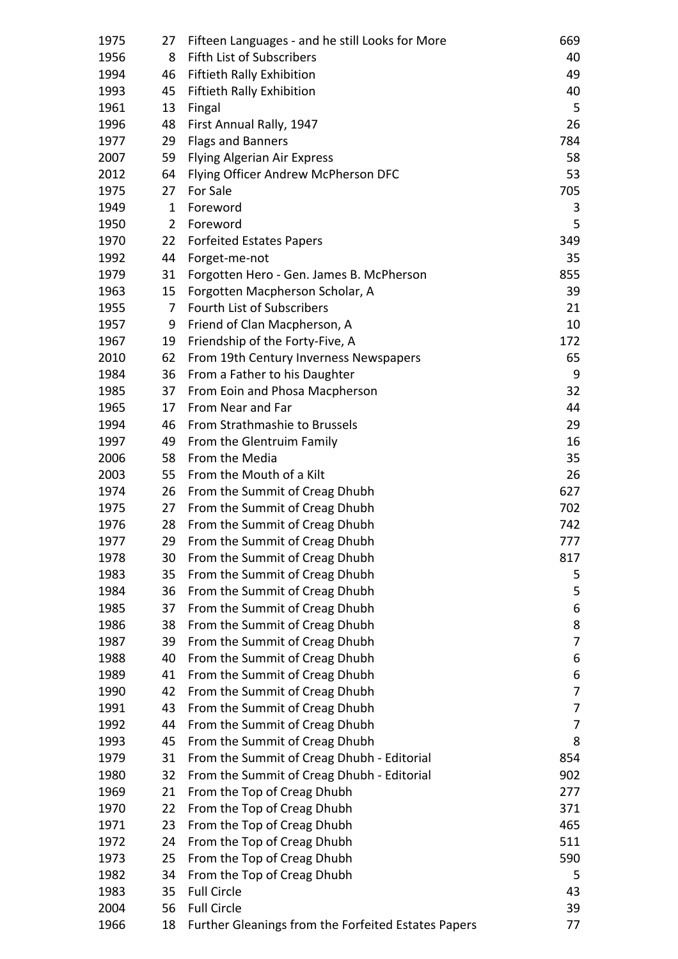| 1975 | 27             | Fifteen Languages - and he still Looks for More     | 669 |
|------|----------------|-----------------------------------------------------|-----|
| 1956 | 8              | Fifth List of Subscribers                           | 40  |
| 1994 | 46             | Fiftieth Rally Exhibition                           | 49  |
| 1993 | 45             | Fiftieth Rally Exhibition                           | 40  |
| 1961 | 13             | Fingal                                              | 5   |
| 1996 | 48             | First Annual Rally, 1947                            | 26  |
| 1977 | 29             | <b>Flags and Banners</b>                            | 784 |
| 2007 | 59             | Flying Algerian Air Express                         | 58  |
| 2012 | 64             | Flying Officer Andrew McPherson DFC                 | 53  |
| 1975 | 27             | For Sale                                            | 705 |
| 1949 | 1              | Foreword                                            | 3   |
| 1950 | $\overline{2}$ | Foreword                                            | 5   |
| 1970 | 22             | <b>Forfeited Estates Papers</b>                     | 349 |
| 1992 | 44             | Forget-me-not                                       | 35  |
| 1979 | 31             | Forgotten Hero - Gen. James B. McPherson            | 855 |
| 1963 | 15             | Forgotten Macpherson Scholar, A                     | 39  |
| 1955 | 7              | Fourth List of Subscribers                          | 21  |
| 1957 | 9              | Friend of Clan Macpherson, A                        | 10  |
| 1967 | 19             | Friendship of the Forty-Five, A                     | 172 |
| 2010 | 62             | From 19th Century Inverness Newspapers              | 65  |
| 1984 | 36             | From a Father to his Daughter                       | 9   |
| 1985 | 37             | From Eoin and Phosa Macpherson                      | 32  |
| 1965 | 17             | From Near and Far                                   | 44  |
| 1994 | 46             | From Strathmashie to Brussels                       | 29  |
| 1997 | 49             | From the Glentruim Family                           | 16  |
| 2006 | 58             | From the Media                                      | 35  |
| 2003 | 55             | From the Mouth of a Kilt                            | 26  |
| 1974 | 26             | From the Summit of Creag Dhubh                      | 627 |
| 1975 | 27             | From the Summit of Creag Dhubh                      | 702 |
| 1976 | 28             | From the Summit of Creag Dhubh                      | 742 |
| 1977 | 29             | From the Summit of Creag Dhubh                      | 777 |
| 1978 | 30             | From the Summit of Creag Dhubh                      | 817 |
| 1983 | 35             | From the Summit of Creag Dhubh                      | 5   |
| 1984 | 36             | From the Summit of Creag Dhubh                      | 5   |
| 1985 | 37             | From the Summit of Creag Dhubh                      | 6   |
| 1986 | 38             | From the Summit of Creag Dhubh                      | 8   |
| 1987 | 39             | From the Summit of Creag Dhubh                      | 7   |
| 1988 | 40             | From the Summit of Creag Dhubh                      | 6   |
| 1989 | 41             | From the Summit of Creag Dhubh                      | 6   |
| 1990 | 42             | From the Summit of Creag Dhubh                      | 7   |
| 1991 | 43             | From the Summit of Creag Dhubh                      | 7   |
| 1992 | 44             | From the Summit of Creag Dhubh                      | 7   |
| 1993 | 45             | From the Summit of Creag Dhubh                      | 8   |
| 1979 | 31             | From the Summit of Creag Dhubh - Editorial          | 854 |
| 1980 | 32             | From the Summit of Creag Dhubh - Editorial          | 902 |
| 1969 | 21             | From the Top of Creag Dhubh                         | 277 |
| 1970 | 22             | From the Top of Creag Dhubh                         | 371 |
| 1971 | 23             | From the Top of Creag Dhubh                         | 465 |
| 1972 | 24             | From the Top of Creag Dhubh                         | 511 |
| 1973 | 25             | From the Top of Creag Dhubh                         | 590 |
| 1982 | 34             | From the Top of Creag Dhubh                         | 5   |
| 1983 | 35             | <b>Full Circle</b>                                  | 43  |
| 2004 | 56             | <b>Full Circle</b>                                  | 39  |
| 1966 | 18             | Further Gleanings from the Forfeited Estates Papers | 77  |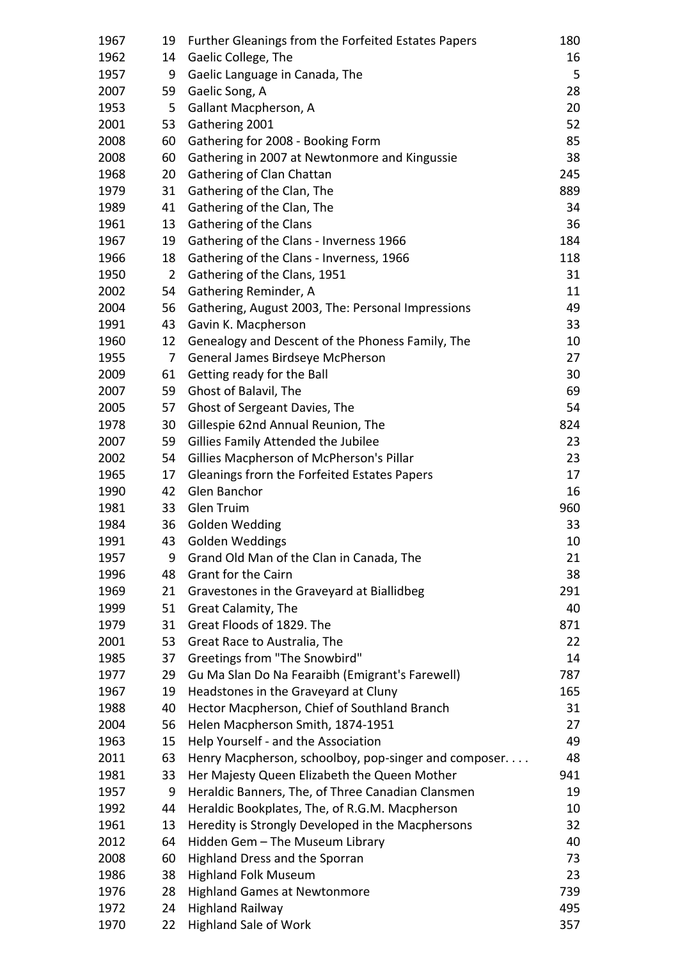| 1967 | 19             | Further Gleanings from the Forfeited Estates Papers  | 180 |
|------|----------------|------------------------------------------------------|-----|
| 1962 | 14             | Gaelic College, The                                  | 16  |
| 1957 | 9              | Gaelic Language in Canada, The                       | 5   |
| 2007 | 59             | Gaelic Song, A                                       | 28  |
| 1953 | 5              | Gallant Macpherson, A                                | 20  |
| 2001 | 53             | Gathering 2001                                       | 52  |
| 2008 | 60             | Gathering for 2008 - Booking Form                    | 85  |
| 2008 | 60             | Gathering in 2007 at Newtonmore and Kingussie        | 38  |
| 1968 | 20             | Gathering of Clan Chattan                            | 245 |
| 1979 | 31             | Gathering of the Clan, The                           | 889 |
| 1989 | 41             | Gathering of the Clan, The                           | 34  |
| 1961 | 13             | Gathering of the Clans                               | 36  |
| 1967 | 19             | Gathering of the Clans - Inverness 1966              | 184 |
| 1966 | 18             | Gathering of the Clans - Inverness, 1966             | 118 |
| 1950 | $\overline{2}$ | Gathering of the Clans, 1951                         | 31  |
| 2002 | 54             | Gathering Reminder, A                                | 11  |
| 2004 | 56             | Gathering, August 2003, The: Personal Impressions    | 49  |
| 1991 | 43             | Gavin K. Macpherson                                  | 33  |
| 1960 | 12             | Genealogy and Descent of the Phoness Family, The     | 10  |
| 1955 | 7              | General James Birdseye McPherson                     | 27  |
| 2009 | 61             | Getting ready for the Ball                           | 30  |
| 2007 | 59             | Ghost of Balavil, The                                | 69  |
| 2005 | 57             | Ghost of Sergeant Davies, The                        | 54  |
| 1978 | 30             | Gillespie 62nd Annual Reunion, The                   | 824 |
| 2007 | 59             | Gillies Family Attended the Jubilee                  | 23  |
| 2002 | 54             | Gillies Macpherson of McPherson's Pillar             | 23  |
| 1965 | 17             | Gleanings frorn the Forfeited Estates Papers         | 17  |
| 1990 | 42             | Glen Banchor                                         | 16  |
| 1981 | 33             | <b>Glen Truim</b>                                    | 960 |
| 1984 | 36             | <b>Golden Wedding</b>                                | 33  |
| 1991 |                | 43 Golden Weddings                                   | 10  |
| 1957 | 9              | Grand Old Man of the Clan in Canada, The             | 21  |
| 1996 | 48             | <b>Grant for the Cairn</b>                           | 38  |
| 1969 | 21             | Gravestones in the Graveyard at Biallidbeg           | 291 |
| 1999 | 51             | Great Calamity, The                                  | 40  |
| 1979 | 31             | Great Floods of 1829. The                            | 871 |
| 2001 | 53             | Great Race to Australia, The                         | 22  |
| 1985 | 37             | Greetings from "The Snowbird"                        | 14  |
| 1977 | 29             | Gu Ma Slan Do Na Fearaibh (Emigrant's Farewell)      | 787 |
| 1967 | 19             | Headstones in the Graveyard at Cluny                 | 165 |
| 1988 | 40             | Hector Macpherson, Chief of Southland Branch         | 31  |
| 2004 | 56             | Helen Macpherson Smith, 1874-1951                    | 27  |
| 1963 | 15             | Help Yourself - and the Association                  | 49  |
| 2011 | 63             | Henry Macpherson, schoolboy, pop-singer and composer | 48  |
| 1981 | 33             | Her Majesty Queen Elizabeth the Queen Mother         | 941 |
| 1957 | 9              | Heraldic Banners, The, of Three Canadian Clansmen    | 19  |
| 1992 | 44             | Heraldic Bookplates, The, of R.G.M. Macpherson       | 10  |
| 1961 | 13             | Heredity is Strongly Developed in the Macphersons    | 32  |
| 2012 | 64             | Hidden Gem - The Museum Library                      | 40  |
| 2008 | 60             | Highland Dress and the Sporran                       | 73  |
| 1986 | 38             | <b>Highland Folk Museum</b>                          | 23  |
| 1976 | 28             | <b>Highland Games at Newtonmore</b>                  | 739 |
| 1972 | 24             | <b>Highland Railway</b>                              | 495 |
| 1970 | 22             | <b>Highland Sale of Work</b>                         | 357 |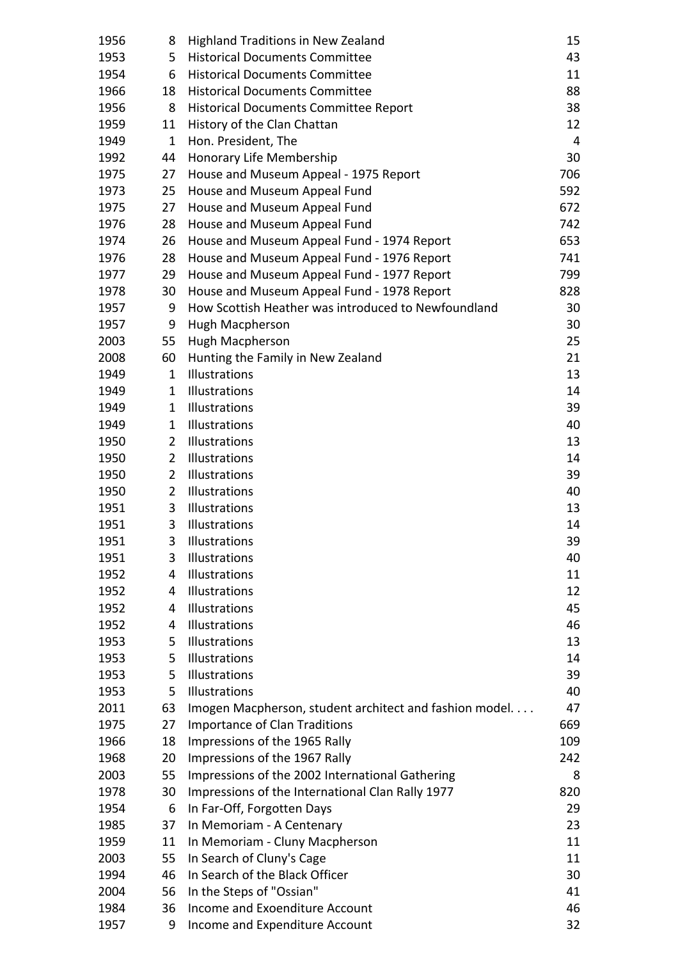| 1956         | 8              | <b>Highland Traditions in New Zealand</b>                                        | 15         |
|--------------|----------------|----------------------------------------------------------------------------------|------------|
| 1953         | 5              | <b>Historical Documents Committee</b>                                            | 43         |
| 1954         | 6              | <b>Historical Documents Committee</b>                                            | 11         |
| 1966         | 18             | <b>Historical Documents Committee</b>                                            | 88         |
| 1956         | 8              | <b>Historical Documents Committee Report</b>                                     | 38         |
| 1959         | 11             | History of the Clan Chattan                                                      | 12         |
| 1949         | $\mathbf{1}$   | Hon. President, The                                                              | 4          |
| 1992         | 44             | Honorary Life Membership                                                         | 30         |
| 1975         | 27             | House and Museum Appeal - 1975 Report                                            | 706        |
| 1973         | 25             | House and Museum Appeal Fund                                                     | 592        |
| 1975         | 27             | House and Museum Appeal Fund                                                     | 672        |
| 1976         | 28             | House and Museum Appeal Fund                                                     | 742        |
| 1974         | 26             | House and Museum Appeal Fund - 1974 Report                                       | 653        |
| 1976         | 28             | House and Museum Appeal Fund - 1976 Report                                       | 741        |
| 1977         | 29             | House and Museum Appeal Fund - 1977 Report                                       | 799        |
| 1978         | 30             | House and Museum Appeal Fund - 1978 Report                                       | 828        |
| 1957         | 9              | How Scottish Heather was introduced to Newfoundland                              | 30         |
| 1957         | 9              | Hugh Macpherson                                                                  | 30         |
| 2003         | 55             | Hugh Macpherson                                                                  | 25         |
| 2008         | 60             | Hunting the Family in New Zealand                                                | 21         |
| 1949         | $\mathbf{1}$   | Illustrations                                                                    | 13         |
| 1949         | $\mathbf{1}$   | Illustrations                                                                    | 14         |
| 1949         | $\mathbf 1$    | Illustrations                                                                    | 39         |
| 1949         | $\mathbf{1}$   | Illustrations                                                                    | 40         |
| 1950         | $\overline{2}$ | Illustrations                                                                    | 13         |
| 1950         | $\overline{2}$ | Illustrations                                                                    | 14         |
| 1950         | $\overline{2}$ | Illustrations                                                                    | 39         |
| 1950         | $\overline{2}$ | Illustrations                                                                    | 40         |
| 1951         | 3              | Illustrations                                                                    | 13         |
| 1951         | 3              | Illustrations                                                                    | 14         |
| 1951         | 3              | Illustrations                                                                    | 39         |
| 1951         | 3              | Illustrations                                                                    | 40         |
| 1952         | 4              | Illustrations                                                                    | 11         |
| 1952         | 4              | Illustrations                                                                    | 12         |
| 1952         | 4              | Illustrations                                                                    | 45         |
| 1952         | 4              | Illustrations                                                                    | 46         |
| 1953         | 5              | Illustrations                                                                    | 13         |
| 1953         | 5              | Illustrations                                                                    | 14         |
| 1953         | 5              | Illustrations                                                                    | 39         |
| 1953         | 5              | Illustrations                                                                    | 40         |
| 2011         | 63             | Imogen Macpherson, student architect and fashion model                           | 47         |
| 1975         | 27             | <b>Importance of Clan Traditions</b>                                             | 669        |
| 1966<br>1968 | 18<br>20       | Impressions of the 1965 Rally                                                    | 109<br>242 |
| 2003         | 55             | Impressions of the 1967 Rally<br>Impressions of the 2002 International Gathering | 8          |
| 1978         | 30             | Impressions of the International Clan Rally 1977                                 | 820        |
| 1954         | 6              | In Far-Off, Forgotten Days                                                       | 29         |
| 1985         | 37             | In Memoriam - A Centenary                                                        | 23         |
| 1959         | 11             | In Memoriam - Cluny Macpherson                                                   | 11         |
| 2003         | 55             | In Search of Cluny's Cage                                                        | 11         |
| 1994         | 46             | In Search of the Black Officer                                                   | 30         |
| 2004         | 56             | In the Steps of "Ossian"                                                         | 41         |
| 1984         | 36             | Income and Exoenditure Account                                                   | 46         |
| 1957         | 9              | Income and Expenditure Account                                                   | 32         |
|              |                |                                                                                  |            |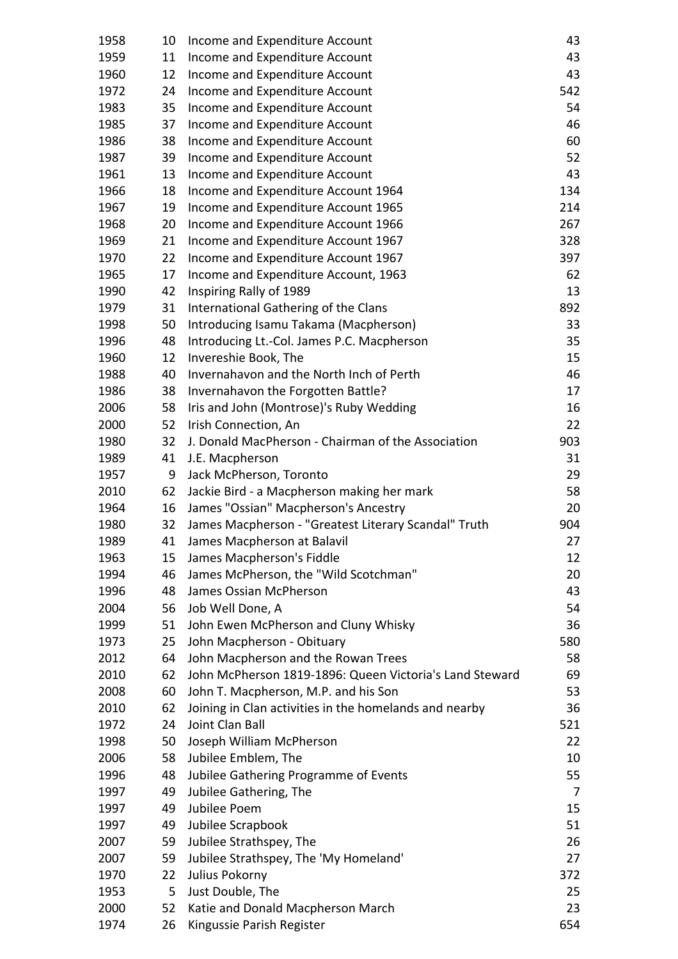| 1958 | 10 | Income and Expenditure Account                          | 43  |
|------|----|---------------------------------------------------------|-----|
| 1959 | 11 | Income and Expenditure Account                          | 43  |
| 1960 | 12 | Income and Expenditure Account                          | 43  |
| 1972 | 24 | Income and Expenditure Account                          | 542 |
| 1983 | 35 | Income and Expenditure Account                          | 54  |
| 1985 | 37 | Income and Expenditure Account                          | 46  |
| 1986 | 38 | Income and Expenditure Account                          | 60  |
| 1987 | 39 | Income and Expenditure Account                          | 52  |
| 1961 | 13 | Income and Expenditure Account                          | 43  |
| 1966 | 18 | Income and Expenditure Account 1964                     | 134 |
| 1967 | 19 | Income and Expenditure Account 1965                     | 214 |
| 1968 | 20 | Income and Expenditure Account 1966                     | 267 |
| 1969 | 21 | Income and Expenditure Account 1967                     | 328 |
| 1970 | 22 | Income and Expenditure Account 1967                     | 397 |
| 1965 | 17 | Income and Expenditure Account, 1963                    | 62  |
| 1990 | 42 | Inspiring Rally of 1989                                 | 13  |
| 1979 | 31 | International Gathering of the Clans                    | 892 |
| 1998 | 50 | Introducing Isamu Takama (Macpherson)                   | 33  |
| 1996 | 48 | Introducing Lt.-Col. James P.C. Macpherson              | 35  |
| 1960 | 12 | Invereshie Book, The                                    | 15  |
| 1988 | 40 | Invernahavon and the North Inch of Perth                | 46  |
| 1986 | 38 | Invernahavon the Forgotten Battle?                      | 17  |
| 2006 | 58 | Iris and John (Montrose)'s Ruby Wedding                 | 16  |
| 2000 | 52 | Irish Connection, An                                    | 22  |
| 1980 | 32 | J. Donald MacPherson - Chairman of the Association      | 903 |
| 1989 | 41 | J.E. Macpherson                                         | 31  |
| 1957 | 9  | Jack McPherson, Toronto                                 | 29  |
| 2010 | 62 | Jackie Bird - a Macpherson making her mark              | 58  |
| 1964 | 16 | James "Ossian" Macpherson's Ancestry                    | 20  |
| 1980 | 32 | James Macpherson - "Greatest Literary Scandal" Truth    | 904 |
| 1989 | 41 | James Macpherson at Balavil                             | 27  |
| 1963 | 15 | James Macpherson's Fiddle                               | 12  |
| 1994 | 46 | James McPherson, the "Wild Scotchman"                   | 20  |
| 1996 | 48 | James Ossian McPherson                                  | 43  |
| 2004 | 56 | Job Well Done, A                                        | 54  |
| 1999 | 51 | John Ewen McPherson and Cluny Whisky                    | 36  |
| 1973 | 25 | John Macpherson - Obituary                              | 580 |
| 2012 | 64 | John Macpherson and the Rowan Trees                     | 58  |
| 2010 | 62 | John McPherson 1819-1896: Queen Victoria's Land Steward | 69  |
| 2008 | 60 | John T. Macpherson, M.P. and his Son                    | 53  |
| 2010 | 62 | Joining in Clan activities in the homelands and nearby  | 36  |
| 1972 | 24 | Joint Clan Ball                                         | 521 |
| 1998 | 50 | Joseph William McPherson                                | 22  |
| 2006 | 58 | Jubilee Emblem, The                                     | 10  |
| 1996 | 48 | Jubilee Gathering Programme of Events                   | 55  |
| 1997 | 49 | Jubilee Gathering, The                                  | 7   |
| 1997 | 49 | Jubilee Poem                                            | 15  |
| 1997 | 49 | Jubilee Scrapbook                                       | 51  |
| 2007 | 59 | Jubilee Strathspey, The                                 | 26  |
| 2007 | 59 | Jubilee Strathspey, The 'My Homeland'                   | 27  |
| 1970 | 22 | Julius Pokorny                                          | 372 |
| 1953 | 5  | Just Double, The                                        | 25  |
| 2000 | 52 | Katie and Donald Macpherson March                       | 23  |
| 1974 | 26 | Kingussie Parish Register                               | 654 |
|      |    |                                                         |     |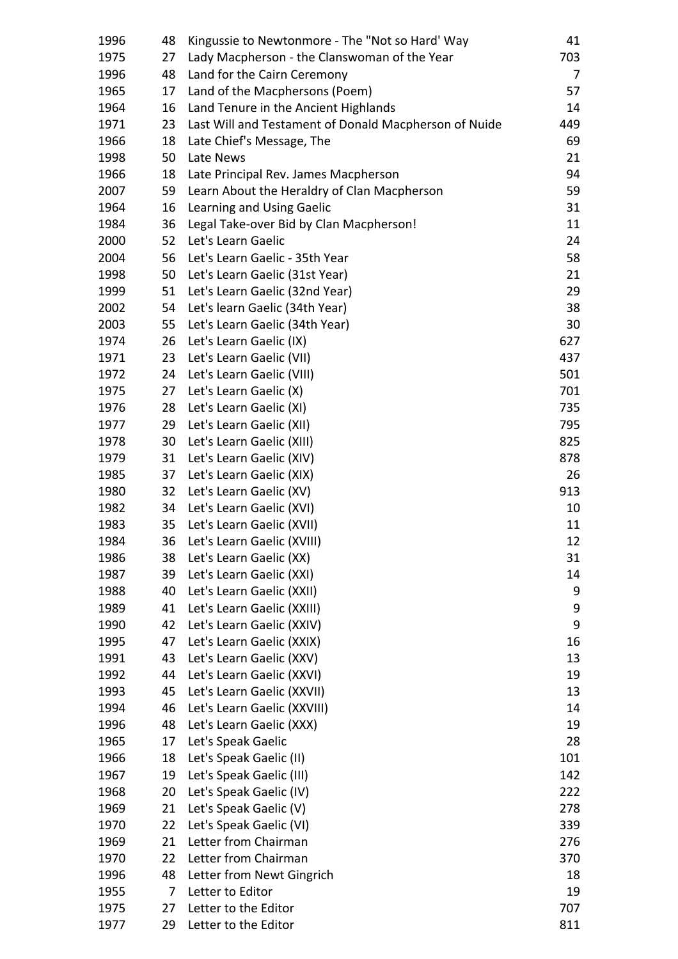| 1996 | 48 | Kingussie to Newtonmore - The "Not so Hard' Way       | 41  |
|------|----|-------------------------------------------------------|-----|
| 1975 | 27 | Lady Macpherson - the Clanswoman of the Year          | 703 |
| 1996 | 48 | Land for the Cairn Ceremony                           | 7   |
| 1965 | 17 | Land of the Macphersons (Poem)                        | 57  |
| 1964 | 16 | Land Tenure in the Ancient Highlands                  | 14  |
| 1971 | 23 | Last Will and Testament of Donald Macpherson of Nuide | 449 |
| 1966 | 18 | Late Chief's Message, The                             | 69  |
| 1998 | 50 | Late News                                             | 21  |
| 1966 | 18 | Late Principal Rev. James Macpherson                  | 94  |
| 2007 | 59 | Learn About the Heraldry of Clan Macpherson           | 59  |
| 1964 | 16 | Learning and Using Gaelic                             | 31  |
| 1984 | 36 | Legal Take-over Bid by Clan Macpherson!               | 11  |
| 2000 | 52 | Let's Learn Gaelic                                    | 24  |
| 2004 | 56 | Let's Learn Gaelic - 35th Year                        | 58  |
| 1998 | 50 | Let's Learn Gaelic (31st Year)                        | 21  |
| 1999 | 51 | Let's Learn Gaelic (32nd Year)                        | 29  |
| 2002 | 54 | Let's learn Gaelic (34th Year)                        | 38  |
| 2003 | 55 | Let's Learn Gaelic (34th Year)                        | 30  |
| 1974 | 26 | Let's Learn Gaelic (IX)                               | 627 |
| 1971 | 23 | Let's Learn Gaelic (VII)                              | 437 |
| 1972 | 24 | Let's Learn Gaelic (VIII)                             | 501 |
| 1975 | 27 | Let's Learn Gaelic (X)                                | 701 |
| 1976 | 28 | Let's Learn Gaelic (XI)                               | 735 |
| 1977 | 29 | Let's Learn Gaelic (XII)                              | 795 |
| 1978 | 30 | Let's Learn Gaelic (XIII)                             | 825 |
| 1979 | 31 | Let's Learn Gaelic (XIV)                              | 878 |
| 1985 | 37 | Let's Learn Gaelic (XIX)                              | 26  |
| 1980 | 32 | Let's Learn Gaelic (XV)                               | 913 |
| 1982 | 34 | Let's Learn Gaelic (XVI)                              | 10  |
| 1983 | 35 | Let's Learn Gaelic (XVII)                             | 11  |
| 1984 |    | 36 Let's Learn Gaelic (XVIII)                         | 12  |
| 1986 | 38 | Let's Learn Gaelic (XX)                               | 31  |
| 1987 | 39 | Let's Learn Gaelic (XXI)                              | 14  |
| 1988 | 40 | Let's Learn Gaelic (XXII)                             | 9   |
| 1989 | 41 | Let's Learn Gaelic (XXIII)                            | 9   |
| 1990 | 42 | Let's Learn Gaelic (XXIV)                             | 9   |
| 1995 | 47 | Let's Learn Gaelic (XXIX)                             | 16  |
| 1991 | 43 | Let's Learn Gaelic (XXV)                              | 13  |
| 1992 | 44 | Let's Learn Gaelic (XXVI)                             | 19  |
| 1993 | 45 | Let's Learn Gaelic (XXVII)                            | 13  |
| 1994 | 46 | Let's Learn Gaelic (XXVIII)                           | 14  |
| 1996 | 48 | Let's Learn Gaelic (XXX)                              | 19  |
| 1965 | 17 | Let's Speak Gaelic                                    | 28  |
| 1966 | 18 | Let's Speak Gaelic (II)                               | 101 |
| 1967 | 19 | Let's Speak Gaelic (III)                              | 142 |
| 1968 | 20 | Let's Speak Gaelic (IV)                               | 222 |
| 1969 | 21 | Let's Speak Gaelic (V)                                | 278 |
| 1970 | 22 | Let's Speak Gaelic (VI)                               | 339 |
| 1969 | 21 | Letter from Chairman                                  | 276 |
| 1970 | 22 | Letter from Chairman                                  | 370 |
| 1996 | 48 | Letter from Newt Gingrich                             | 18  |
| 1955 | 7  | Letter to Editor                                      | 19  |
| 1975 | 27 | Letter to the Editor                                  | 707 |
| 1977 | 29 | Letter to the Editor                                  | 811 |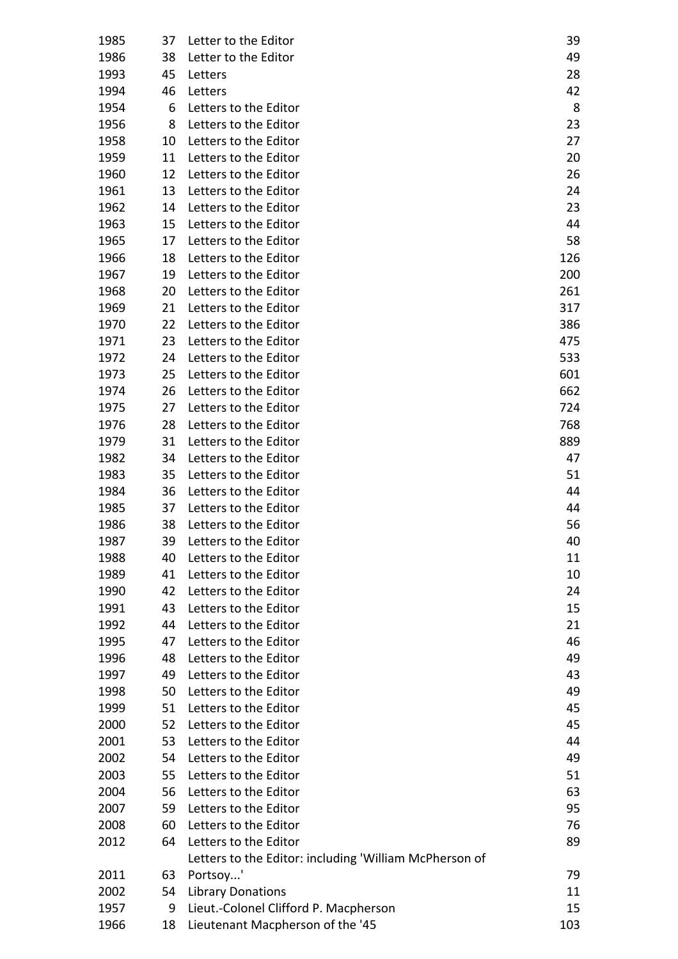| 1985 | 37 | Letter to the Editor                                   | 39  |
|------|----|--------------------------------------------------------|-----|
| 1986 | 38 | Letter to the Editor                                   | 49  |
| 1993 | 45 | Letters                                                | 28  |
| 1994 | 46 | Letters                                                | 42  |
| 1954 | 6  | Letters to the Editor                                  | 8   |
| 1956 | 8  | Letters to the Editor                                  | 23  |
| 1958 | 10 | Letters to the Editor                                  | 27  |
| 1959 | 11 | Letters to the Editor                                  | 20  |
| 1960 | 12 | Letters to the Editor                                  | 26  |
| 1961 | 13 | Letters to the Editor                                  | 24  |
| 1962 | 14 | Letters to the Editor                                  | 23  |
| 1963 | 15 | Letters to the Editor                                  | 44  |
| 1965 | 17 | Letters to the Editor                                  | 58  |
| 1966 | 18 | Letters to the Editor                                  | 126 |
| 1967 | 19 | Letters to the Editor                                  | 200 |
| 1968 | 20 | Letters to the Editor                                  | 261 |
| 1969 | 21 | Letters to the Editor                                  | 317 |
| 1970 | 22 | Letters to the Editor                                  | 386 |
| 1971 | 23 | Letters to the Editor                                  | 475 |
| 1972 | 24 | Letters to the Editor                                  | 533 |
| 1973 | 25 | Letters to the Editor                                  | 601 |
| 1974 | 26 | Letters to the Editor                                  | 662 |
| 1975 | 27 | Letters to the Editor                                  | 724 |
| 1976 | 28 | Letters to the Editor                                  | 768 |
| 1979 | 31 | Letters to the Editor                                  | 889 |
| 1982 | 34 | Letters to the Editor                                  | 47  |
| 1983 | 35 | Letters to the Editor                                  | 51  |
| 1984 | 36 | Letters to the Editor                                  | 44  |
| 1985 | 37 | Letters to the Editor                                  | 44  |
| 1986 | 38 | Letters to the Editor                                  | 56  |
| 1987 | 39 | Letters to the Editor                                  | 40  |
| 1988 | 40 | Letters to the Editor                                  | 11  |
| 1989 | 41 | Letters to the Editor                                  | 10  |
| 1990 | 42 | Letters to the Editor                                  | 24  |
| 1991 | 43 | Letters to the Editor                                  | 15  |
| 1992 | 44 | Letters to the Editor                                  | 21  |
| 1995 | 47 | Letters to the Editor                                  | 46  |
| 1996 | 48 | Letters to the Editor                                  | 49  |
| 1997 | 49 | Letters to the Editor                                  | 43  |
| 1998 | 50 | Letters to the Editor                                  | 49  |
| 1999 | 51 | Letters to the Editor                                  | 45  |
| 2000 | 52 | Letters to the Editor                                  | 45  |
| 2001 | 53 | Letters to the Editor                                  | 44  |
| 2002 | 54 | Letters to the Editor                                  | 49  |
| 2003 | 55 | Letters to the Editor                                  | 51  |
| 2004 | 56 | Letters to the Editor                                  | 63  |
| 2007 | 59 | Letters to the Editor                                  | 95  |
| 2008 | 60 | Letters to the Editor                                  | 76  |
| 2012 | 64 | Letters to the Editor                                  | 89  |
|      |    | Letters to the Editor: including 'William McPherson of |     |
| 2011 | 63 | Portsoy'                                               | 79  |
| 2002 | 54 | <b>Library Donations</b>                               | 11  |
| 1957 | 9  | Lieut.-Colonel Clifford P. Macpherson                  | 15  |
| 1966 | 18 | Lieutenant Macpherson of the '45                       | 103 |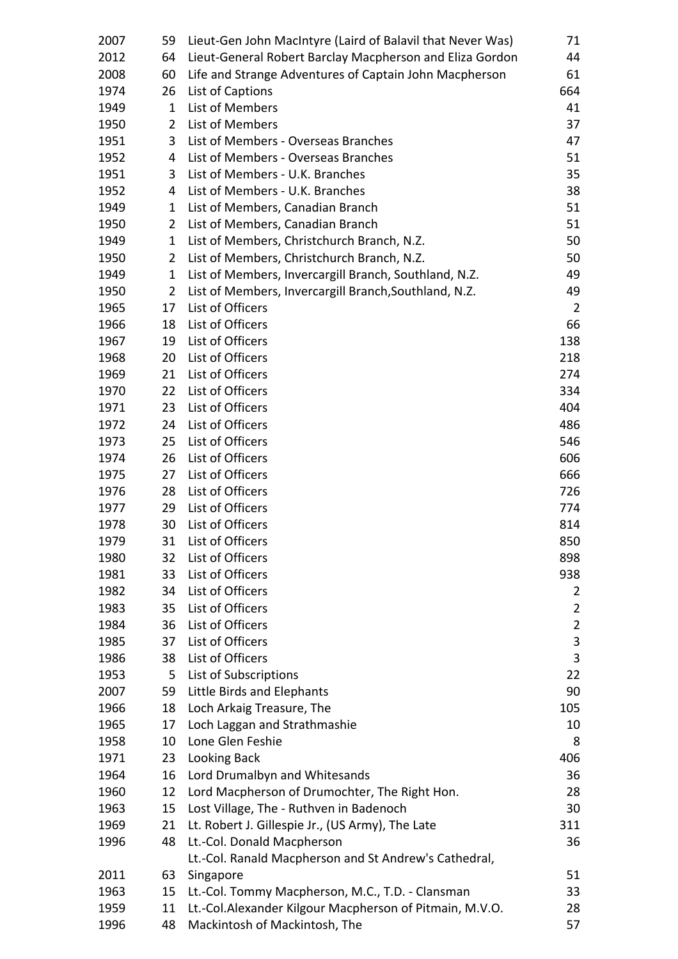| 2007 | 59             | Lieut-Gen John MacIntyre (Laird of Balavil that Never Was) | 71             |
|------|----------------|------------------------------------------------------------|----------------|
| 2012 | 64             | Lieut-General Robert Barclay Macpherson and Eliza Gordon   | 44             |
| 2008 | 60             | Life and Strange Adventures of Captain John Macpherson     | 61             |
| 1974 | 26             | List of Captions                                           | 664            |
| 1949 | 1              | List of Members                                            | 41             |
| 1950 | $\overline{2}$ | List of Members                                            | 37             |
| 1951 | 3              | List of Members - Overseas Branches                        | 47             |
| 1952 | 4              | List of Members - Overseas Branches                        | 51             |
| 1951 | 3              | List of Members - U.K. Branches                            | 35             |
| 1952 | 4              | List of Members - U.K. Branches                            | 38             |
| 1949 | 1              | List of Members, Canadian Branch                           | 51             |
| 1950 | $\overline{2}$ | List of Members, Canadian Branch                           | 51             |
| 1949 | $\mathbf{1}$   | List of Members, Christchurch Branch, N.Z.                 | 50             |
| 1950 | $\overline{2}$ | List of Members, Christchurch Branch, N.Z.                 | 50             |
| 1949 | $\mathbf{1}$   | List of Members, Invercargill Branch, Southland, N.Z.      | 49             |
| 1950 | 2              | List of Members, Invercargill Branch, Southland, N.Z.      | 49             |
| 1965 | 17             | List of Officers                                           | $\overline{2}$ |
| 1966 | 18             | List of Officers                                           | 66             |
| 1967 | 19             | List of Officers                                           | 138            |
| 1968 | 20             | List of Officers                                           | 218            |
| 1969 | 21             | List of Officers                                           | 274            |
| 1970 | 22             | List of Officers                                           | 334            |
| 1971 | 23             | List of Officers                                           | 404            |
| 1972 | 24             | List of Officers                                           | 486            |
| 1973 | 25             | List of Officers                                           | 546            |
| 1974 | 26             | List of Officers                                           | 606            |
| 1975 | 27             | List of Officers                                           | 666            |
| 1976 | 28             | List of Officers                                           | 726            |
| 1977 | 29             | List of Officers                                           | 774            |
| 1978 | 30             | List of Officers                                           | 814            |
| 1979 |                | 31 List of Officers                                        | 850            |
| 1980 | 32             | List of Officers                                           | 898            |
| 1981 | 33             | List of Officers                                           | 938            |
| 1982 | 34             | List of Officers                                           | 2              |
| 1983 | 35             | List of Officers                                           | $\overline{2}$ |
| 1984 | 36             | List of Officers                                           | $\overline{2}$ |
| 1985 | 37             | List of Officers                                           | 3              |
| 1986 | 38             | List of Officers                                           | 3              |
| 1953 | 5              | List of Subscriptions                                      | 22             |
| 2007 | 59             | Little Birds and Elephants                                 | 90             |
| 1966 | 18             | Loch Arkaig Treasure, The                                  | 105            |
| 1965 | 17             | Loch Laggan and Strathmashie                               | 10             |
| 1958 | 10             | Lone Glen Feshie                                           | 8              |
| 1971 | 23             | Looking Back                                               | 406            |
| 1964 | 16             | Lord Drumalbyn and Whitesands                              | 36             |
| 1960 | 12             | Lord Macpherson of Drumochter, The Right Hon.              | 28             |
| 1963 | 15             | Lost Village, The - Ruthven in Badenoch                    | 30             |
| 1969 | 21             | Lt. Robert J. Gillespie Jr., (US Army), The Late           | 311            |
| 1996 | 48             | Lt.-Col. Donald Macpherson                                 | 36             |
|      |                | Lt.-Col. Ranald Macpherson and St Andrew's Cathedral,      |                |
| 2011 | 63             | Singapore                                                  | 51             |
| 1963 | 15             | Lt.-Col. Tommy Macpherson, M.C., T.D. - Clansman           | 33             |
| 1959 | 11             | Lt.-Col.Alexander Kilgour Macpherson of Pitmain, M.V.O.    | 28             |
| 1996 | 48             | Mackintosh of Mackintosh, The                              | 57             |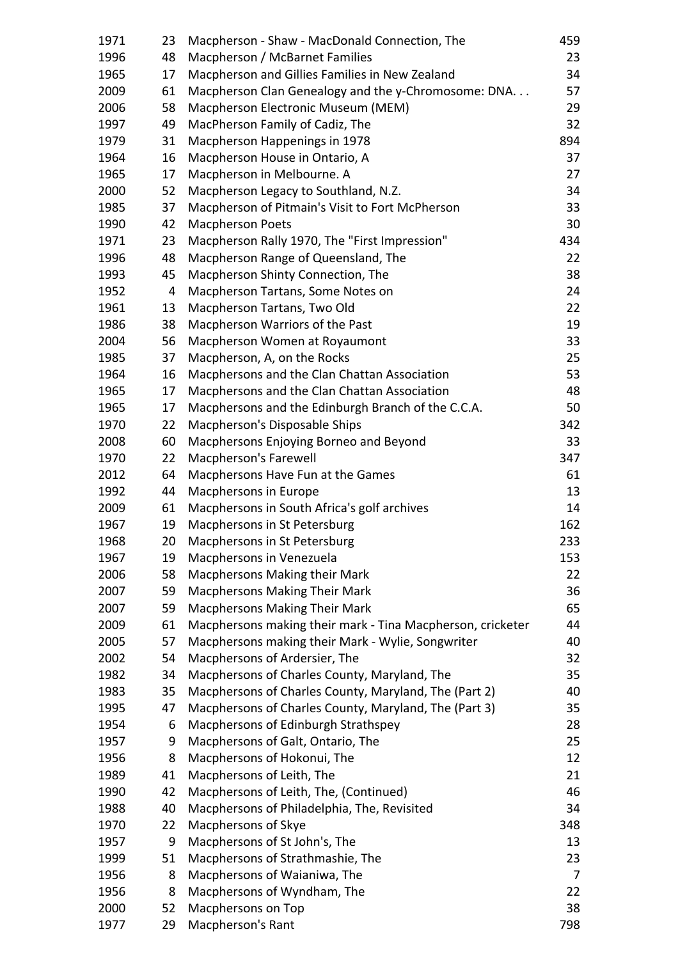| 1971 | 23 | Macpherson - Shaw - MacDonald Connection, The              | 459 |
|------|----|------------------------------------------------------------|-----|
| 1996 | 48 | Macpherson / McBarnet Families                             | 23  |
| 1965 | 17 | Macpherson and Gillies Families in New Zealand             | 34  |
| 2009 | 61 | Macpherson Clan Genealogy and the y-Chromosome: DNA.       | 57  |
| 2006 | 58 | Macpherson Electronic Museum (MEM)                         | 29  |
| 1997 | 49 | MacPherson Family of Cadiz, The                            | 32  |
| 1979 | 31 | Macpherson Happenings in 1978                              | 894 |
| 1964 | 16 | Macpherson House in Ontario, A                             | 37  |
| 1965 | 17 | Macpherson in Melbourne. A                                 | 27  |
| 2000 | 52 | Macpherson Legacy to Southland, N.Z.                       | 34  |
| 1985 | 37 | Macpherson of Pitmain's Visit to Fort McPherson            | 33  |
| 1990 | 42 | <b>Macpherson Poets</b>                                    | 30  |
| 1971 | 23 | Macpherson Rally 1970, The "First Impression"              | 434 |
| 1996 | 48 | Macpherson Range of Queensland, The                        | 22  |
| 1993 | 45 | Macpherson Shinty Connection, The                          | 38  |
| 1952 | 4  | Macpherson Tartans, Some Notes on                          | 24  |
| 1961 | 13 | Macpherson Tartans, Two Old                                | 22  |
| 1986 | 38 | Macpherson Warriors of the Past                            | 19  |
| 2004 | 56 | Macpherson Women at Royaumont                              | 33  |
| 1985 | 37 | Macpherson, A, on the Rocks                                | 25  |
| 1964 | 16 | Macphersons and the Clan Chattan Association               | 53  |
| 1965 | 17 | Macphersons and the Clan Chattan Association               | 48  |
| 1965 | 17 | Macphersons and the Edinburgh Branch of the C.C.A.         | 50  |
| 1970 | 22 | Macpherson's Disposable Ships                              | 342 |
| 2008 | 60 | Macphersons Enjoying Borneo and Beyond                     | 33  |
| 1970 | 22 | Macpherson's Farewell                                      | 347 |
| 2012 | 64 | Macphersons Have Fun at the Games                          | 61  |
| 1992 | 44 | Macphersons in Europe                                      | 13  |
| 2009 | 61 | Macphersons in South Africa's golf archives                | 14  |
| 1967 | 19 | Macphersons in St Petersburg                               | 162 |
| 1968 |    | 20 Macphersons in St Petersburg                            | 233 |
| 1967 | 19 | Macphersons in Venezuela                                   | 153 |
| 2006 | 58 | Macphersons Making their Mark                              | 22  |
| 2007 | 59 | <b>Macphersons Making Their Mark</b>                       | 36  |
| 2007 | 59 | <b>Macphersons Making Their Mark</b>                       | 65  |
| 2009 | 61 | Macphersons making their mark - Tina Macpherson, cricketer | 44  |
| 2005 | 57 | Macphersons making their Mark - Wylie, Songwriter          | 40  |
| 2002 | 54 | Macphersons of Ardersier, The                              | 32  |
| 1982 | 34 | Macphersons of Charles County, Maryland, The               | 35  |
| 1983 | 35 | Macphersons of Charles County, Maryland, The (Part 2)      | 40  |
| 1995 | 47 | Macphersons of Charles County, Maryland, The (Part 3)      | 35  |
| 1954 | 6  | Macphersons of Edinburgh Strathspey                        | 28  |
| 1957 | 9  | Macphersons of Galt, Ontario, The                          | 25  |
| 1956 | 8  | Macphersons of Hokonui, The                                | 12  |
| 1989 | 41 | Macphersons of Leith, The                                  | 21  |
| 1990 | 42 | Macphersons of Leith, The, (Continued)                     | 46  |
| 1988 | 40 | Macphersons of Philadelphia, The, Revisited                | 34  |
| 1970 | 22 | Macphersons of Skye                                        | 348 |
| 1957 | 9  | Macphersons of St John's, The                              | 13  |
| 1999 | 51 | Macphersons of Strathmashie, The                           | 23  |
| 1956 | 8  | Macphersons of Waianiwa, The                               | 7   |
| 1956 | 8  | Macphersons of Wyndham, The                                | 22  |
| 2000 | 52 | Macphersons on Top                                         | 38  |
| 1977 | 29 | Macpherson's Rant                                          | 798 |
|      |    |                                                            |     |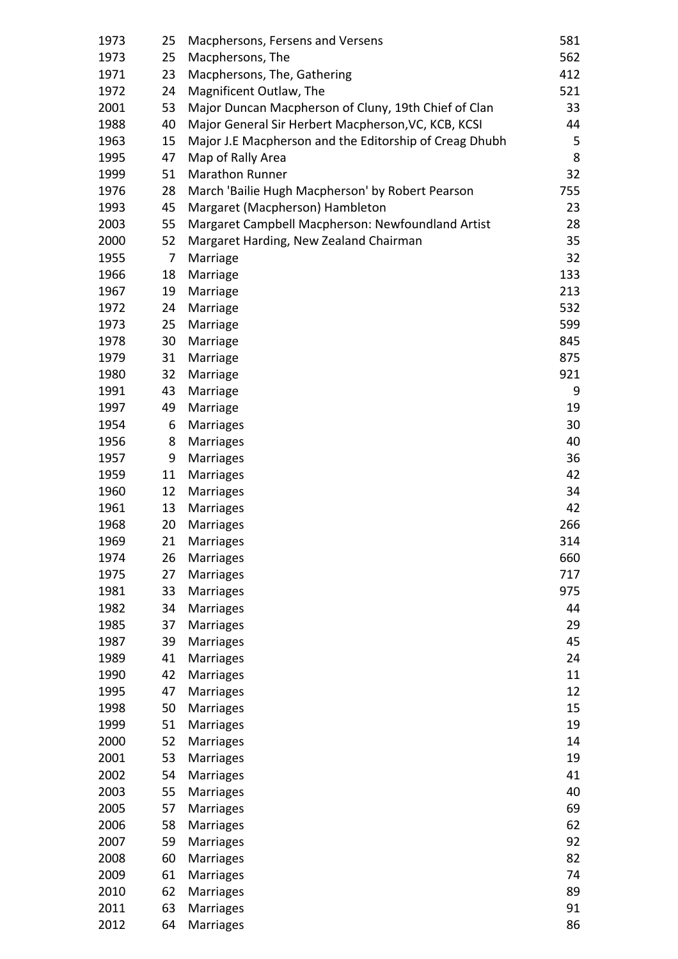| 1973 | 25 | Macphersons, Fersens and Versens                       | 581 |
|------|----|--------------------------------------------------------|-----|
| 1973 | 25 | Macphersons, The                                       | 562 |
| 1971 | 23 | Macphersons, The, Gathering                            | 412 |
| 1972 | 24 | Magnificent Outlaw, The                                | 521 |
| 2001 | 53 | Major Duncan Macpherson of Cluny, 19th Chief of Clan   | 33  |
| 1988 | 40 | Major General Sir Herbert Macpherson, VC, KCB, KCSI    | 44  |
| 1963 | 15 | Major J.E Macpherson and the Editorship of Creag Dhubh | 5   |
| 1995 | 47 | Map of Rally Area                                      | 8   |
| 1999 | 51 | <b>Marathon Runner</b>                                 | 32  |
| 1976 | 28 | March 'Bailie Hugh Macpherson' by Robert Pearson       | 755 |
| 1993 | 45 | Margaret (Macpherson) Hambleton                        | 23  |
| 2003 | 55 | Margaret Campbell Macpherson: Newfoundland Artist      | 28  |
| 2000 | 52 | Margaret Harding, New Zealand Chairman                 | 35  |
| 1955 | 7  | Marriage                                               | 32  |
| 1966 | 18 | Marriage                                               | 133 |
| 1967 | 19 | Marriage                                               | 213 |
| 1972 | 24 |                                                        | 532 |
|      |    | Marriage                                               |     |
| 1973 | 25 | Marriage                                               | 599 |
| 1978 | 30 | Marriage                                               | 845 |
| 1979 | 31 | Marriage                                               | 875 |
| 1980 | 32 | Marriage                                               | 921 |
| 1991 | 43 | Marriage                                               | 9   |
| 1997 | 49 | Marriage                                               | 19  |
| 1954 | 6  | <b>Marriages</b>                                       | 30  |
| 1956 | 8  | <b>Marriages</b>                                       | 40  |
| 1957 | 9  | <b>Marriages</b>                                       | 36  |
| 1959 | 11 | <b>Marriages</b>                                       | 42  |
| 1960 | 12 | <b>Marriages</b>                                       | 34  |
| 1961 | 13 | <b>Marriages</b>                                       | 42  |
| 1968 | 20 | <b>Marriages</b>                                       | 266 |
| 1969 | 21 | Marriages                                              | 314 |
| 1974 | 26 | <b>Marriages</b>                                       | 660 |
| 1975 | 27 | Marriages                                              | 717 |
| 1981 | 33 | <b>Marriages</b>                                       | 975 |
| 1982 | 34 | <b>Marriages</b>                                       | 44  |
| 1985 | 37 | <b>Marriages</b>                                       | 29  |
| 1987 | 39 | Marriages                                              | 45  |
| 1989 | 41 | <b>Marriages</b>                                       | 24  |
| 1990 | 42 | Marriages                                              | 11  |
| 1995 | 47 | <b>Marriages</b>                                       | 12  |
| 1998 | 50 | Marriages                                              | 15  |
| 1999 | 51 | Marriages                                              | 19  |
| 2000 | 52 | Marriages                                              | 14  |
| 2001 | 53 | Marriages                                              | 19  |
| 2002 | 54 | Marriages                                              | 41  |
| 2003 | 55 | Marriages                                              | 40  |
| 2005 | 57 | Marriages                                              | 69  |
| 2006 | 58 | Marriages                                              | 62  |
| 2007 | 59 | <b>Marriages</b>                                       | 92  |
| 2008 | 60 | Marriages                                              | 82  |
| 2009 | 61 | Marriages                                              | 74  |
| 2010 | 62 | Marriages                                              | 89  |
| 2011 | 63 | <b>Marriages</b>                                       | 91  |
| 2012 | 64 | Marriages                                              | 86  |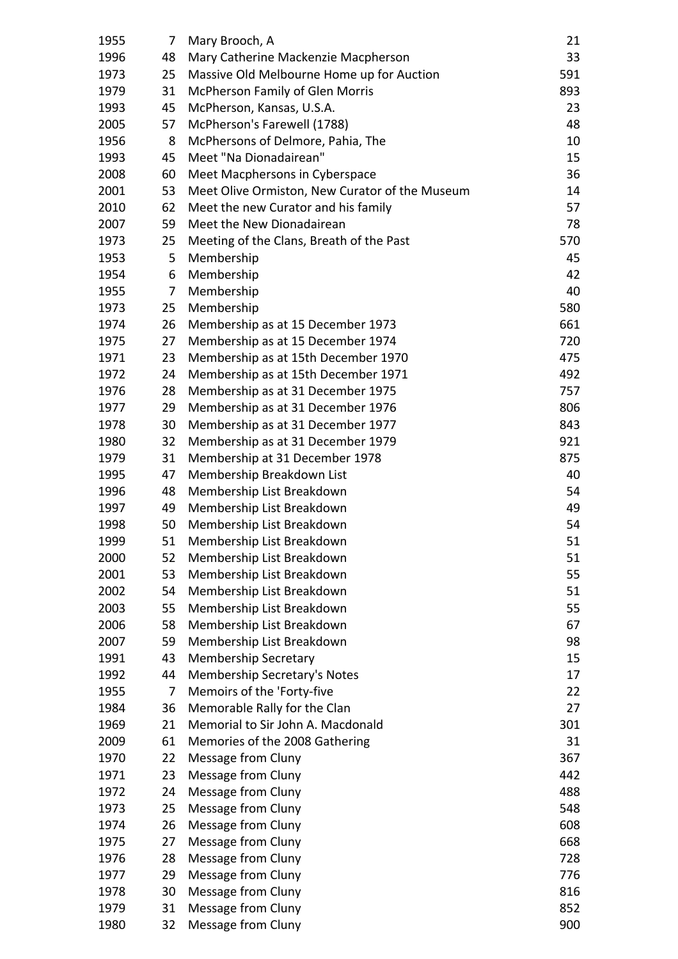| 1955         | 7        | Mary Brooch, A                                 | 21         |
|--------------|----------|------------------------------------------------|------------|
| 1996         | 48       | Mary Catherine Mackenzie Macpherson            | 33         |
| 1973         | 25       | Massive Old Melbourne Home up for Auction      | 591        |
| 1979         | 31       | McPherson Family of Glen Morris                | 893        |
| 1993         | 45       | McPherson, Kansas, U.S.A.                      | 23         |
| 2005         | 57       | McPherson's Farewell (1788)                    | 48         |
| 1956         | 8        | McPhersons of Delmore, Pahia, The              | 10         |
| 1993         | 45       | Meet "Na Dionadairean"                         | 15         |
| 2008         | 60       | Meet Macphersons in Cyberspace                 | 36         |
| 2001         | 53       | Meet Olive Ormiston, New Curator of the Museum | 14         |
| 2010         | 62       | Meet the new Curator and his family            | 57         |
| 2007         | 59       | Meet the New Dionadairean                      | 78         |
| 1973         | 25       | Meeting of the Clans, Breath of the Past       | 570        |
| 1953         | 5        | Membership                                     | 45         |
| 1954         | 6        | Membership                                     | 42         |
| 1955         | 7        | Membership                                     | 40         |
| 1973         | 25       | Membership                                     | 580        |
| 1974         | 26       | Membership as at 15 December 1973              | 661        |
| 1975         | 27       | Membership as at 15 December 1974              | 720        |
| 1971         | 23       | Membership as at 15th December 1970            | 475        |
| 1972         | 24       | Membership as at 15th December 1971            | 492        |
| 1976         | 28       | Membership as at 31 December 1975              | 757        |
| 1977         | 29       | Membership as at 31 December 1976              | 806        |
| 1978         | 30       | Membership as at 31 December 1977              | 843        |
| 1980         | 32       | Membership as at 31 December 1979              | 921        |
| 1979         | 31       | Membership at 31 December 1978                 | 875        |
| 1995         | 47       | Membership Breakdown List                      | 40         |
| 1996         | 48       | Membership List Breakdown                      | 54         |
| 1997         | 49       | Membership List Breakdown                      | 49         |
| 1998         | 50       | Membership List Breakdown                      | 54         |
| 1999         | 51       | Membership List Breakdown                      | 51         |
| 2000         | 52       | Membership List Breakdown                      | 51         |
| 2001         | 53       | Membership List Breakdown                      | 55         |
| 2002         | 54       | Membership List Breakdown                      | 51         |
| 2003         | 55       | Membership List Breakdown                      | 55         |
| 2006         | 58       | Membership List Breakdown                      | 67         |
| 2007         | 59       | Membership List Breakdown                      | 98         |
| 1991         | 43       | <b>Membership Secretary</b>                    | 15         |
| 1992         | 44       | Membership Secretary's Notes                   | 17         |
| 1955         | 7        | Memoirs of the 'Forty-five                     | 22         |
| 1984         | 36       | Memorable Rally for the Clan                   | 27         |
| 1969         | 21       | Memorial to Sir John A. Macdonald              | 301        |
| 2009         | 61       | Memories of the 2008 Gathering                 | 31         |
| 1970         | 22       | Message from Cluny                             | 367        |
| 1971<br>1972 | 23<br>24 | Message from Cluny                             | 442<br>488 |
| 1973         | 25       | Message from Cluny<br>Message from Cluny       | 548        |
|              |          |                                                |            |
| 1974         | 26<br>27 | Message from Cluny                             | 608<br>668 |
| 1975<br>1976 | 28       | Message from Cluny<br>Message from Cluny       | 728        |
| 1977         | 29       | Message from Cluny                             | 776        |
| 1978         | 30       | Message from Cluny                             | 816        |
| 1979         | 31       | Message from Cluny                             | 852        |
| 1980         | 32       | Message from Cluny                             | 900        |
|              |          |                                                |            |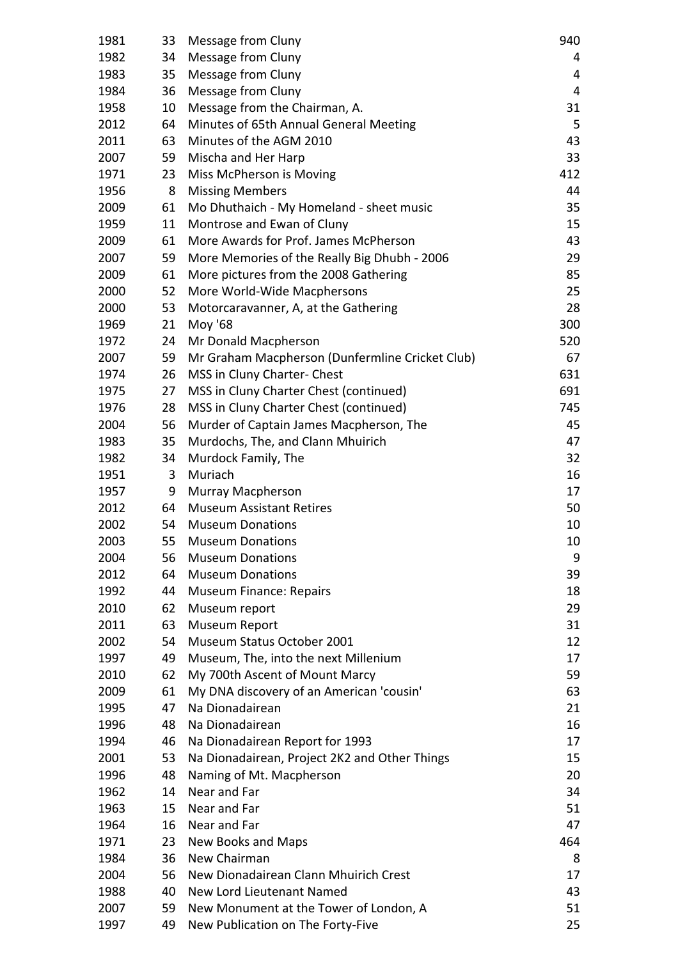| 1981 | 33              | Message from Cluny                              | 940 |
|------|-----------------|-------------------------------------------------|-----|
| 1982 | 34              | Message from Cluny                              | 4   |
| 1983 | 35              | Message from Cluny                              | 4   |
| 1984 | 36              | Message from Cluny                              | 4   |
| 1958 | 10              | Message from the Chairman, A.                   | 31  |
| 2012 | 64              | Minutes of 65th Annual General Meeting          | 5   |
| 2011 | 63              | Minutes of the AGM 2010                         | 43  |
| 2007 | 59              | Mischa and Her Harp                             | 33  |
| 1971 | 23              | Miss McPherson is Moving                        | 412 |
| 1956 | 8               | <b>Missing Members</b>                          | 44  |
| 2009 | 61              | Mo Dhuthaich - My Homeland - sheet music        | 35  |
| 1959 | 11              | Montrose and Ewan of Cluny                      | 15  |
| 2009 | 61              | More Awards for Prof. James McPherson           | 43  |
| 2007 | 59              | More Memories of the Really Big Dhubh - 2006    | 29  |
| 2009 | 61              | More pictures from the 2008 Gathering           | 85  |
| 2000 | 52              | More World-Wide Macphersons                     | 25  |
| 2000 | 53              | Motorcaravanner, A, at the Gathering            | 28  |
| 1969 | 21              | Moy '68                                         | 300 |
| 1972 | 24              | Mr Donald Macpherson                            | 520 |
| 2007 | 59              | Mr Graham Macpherson (Dunfermline Cricket Club) | 67  |
| 1974 | 26              | MSS in Cluny Charter-Chest                      | 631 |
| 1975 | 27              | MSS in Cluny Charter Chest (continued)          | 691 |
| 1976 | 28              | MSS in Cluny Charter Chest (continued)          | 745 |
| 2004 | 56              | Murder of Captain James Macpherson, The         | 45  |
| 1983 | 35              | Murdochs, The, and Clann Mhuirich               | 47  |
| 1982 | 34              | Murdock Family, The                             | 32  |
| 1951 | 3               | Muriach                                         | 16  |
| 1957 | 9               | Murray Macpherson                               | 17  |
| 2012 | 64              | <b>Museum Assistant Retires</b>                 | 50  |
| 2002 | 54              | <b>Museum Donations</b>                         | 10  |
| 2003 | 55              | <b>Museum Donations</b>                         | 10  |
| 2004 | 56              | <b>Museum Donations</b>                         | 9   |
| 2012 | 64              | <b>Museum Donations</b>                         | 39  |
| 1992 | 44              | <b>Museum Finance: Repairs</b>                  | 18  |
| 2010 | 62              | Museum report                                   | 29  |
| 2011 | 63              | Museum Report                                   | 31  |
| 2002 | 54              | Museum Status October 2001                      | 12  |
| 1997 | 49              | Museum, The, into the next Millenium            | 17  |
| 2010 | 62              | My 700th Ascent of Mount Marcy                  | 59  |
| 2009 | 61              | My DNA discovery of an American 'cousin'        | 63  |
| 1995 | 47              | Na Dionadairean                                 | 21  |
| 1996 | 48              | Na Dionadairean                                 | 16  |
| 1994 | 46              | Na Dionadairean Report for 1993                 | 17  |
| 2001 | 53              | Na Dionadairean, Project 2K2 and Other Things   | 15  |
| 1996 | 48              | Naming of Mt. Macpherson                        | 20  |
| 1962 | 14              | Near and Far                                    | 34  |
| 1963 | 15 <sub>1</sub> | Near and Far                                    | 51  |
| 1964 | 16              | Near and Far                                    | 47  |
| 1971 | 23              | New Books and Maps                              | 464 |
| 1984 | 36              | New Chairman                                    | 8   |
| 2004 | 56              | New Dionadairean Clann Mhuirich Crest           | 17  |
| 1988 | 40              | New Lord Lieutenant Named                       | 43  |
| 2007 | 59              | New Monument at the Tower of London, A          | 51  |
| 1997 | 49              | New Publication on The Forty-Five               | 25  |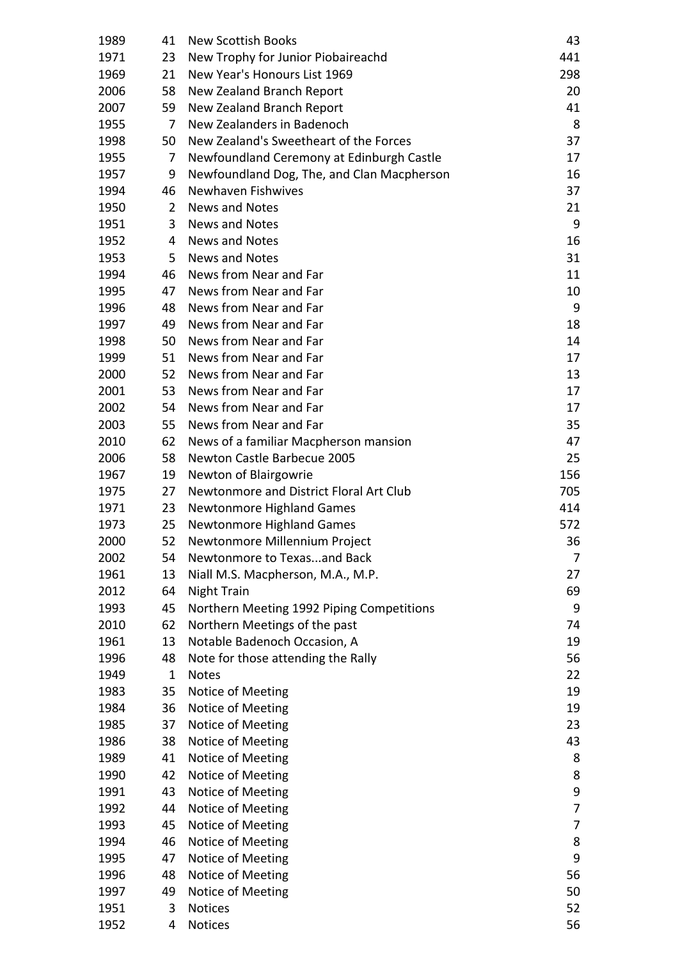| 1989 | 41 | <b>New Scottish Books</b>                  | 43  |
|------|----|--------------------------------------------|-----|
| 1971 | 23 | New Trophy for Junior Piobaireachd         | 441 |
| 1969 | 21 | New Year's Honours List 1969               | 298 |
| 2006 | 58 | New Zealand Branch Report                  | 20  |
| 2007 | 59 | New Zealand Branch Report                  | 41  |
| 1955 | 7  | New Zealanders in Badenoch                 | 8   |
| 1998 | 50 | New Zealand's Sweetheart of the Forces     | 37  |
| 1955 | 7  | Newfoundland Ceremony at Edinburgh Castle  | 17  |
| 1957 | 9  | Newfoundland Dog, The, and Clan Macpherson | 16  |
| 1994 | 46 | Newhaven Fishwives                         | 37  |
| 1950 | 2  | News and Notes                             | 21  |
| 1951 | 3  | <b>News and Notes</b>                      | 9   |
| 1952 | 4  | <b>News and Notes</b>                      | 16  |
| 1953 | 5  | <b>News and Notes</b>                      | 31  |
| 1994 | 46 | News from Near and Far                     | 11  |
| 1995 | 47 | News from Near and Far                     | 10  |
| 1996 | 48 | News from Near and Far                     | 9   |
| 1997 | 49 | News from Near and Far                     | 18  |
| 1998 | 50 | News from Near and Far                     | 14  |
| 1999 | 51 | News from Near and Far                     | 17  |
| 2000 | 52 | News from Near and Far                     | 13  |
| 2001 | 53 | News from Near and Far                     | 17  |
| 2002 | 54 | News from Near and Far                     | 17  |
| 2003 | 55 | News from Near and Far                     | 35  |
| 2010 | 62 | News of a familiar Macpherson mansion      | 47  |
| 2006 | 58 | Newton Castle Barbecue 2005                | 25  |
| 1967 | 19 | Newton of Blairgowrie                      | 156 |
| 1975 | 27 | Newtonmore and District Floral Art Club    | 705 |
| 1971 | 23 | <b>Newtonmore Highland Games</b>           | 414 |
| 1973 | 25 | Newtonmore Highland Games                  | 572 |
| 2000 | 52 | Newtonmore Millennium Project              | 36  |
| 2002 | 54 | Newtonmore to Texasand Back                | 7   |
| 1961 | 13 | Niall M.S. Macpherson, M.A., M.P.          | 27  |
| 2012 | 64 | <b>Night Train</b>                         | 69  |
| 1993 | 45 | Northern Meeting 1992 Piping Competitions  | 9   |
| 2010 | 62 | Northern Meetings of the past              | 74  |
| 1961 | 13 | Notable Badenoch Occasion, A               | 19  |
| 1996 | 48 | Note for those attending the Rally         | 56  |
| 1949 | 1  | <b>Notes</b>                               | 22  |
| 1983 | 35 | Notice of Meeting                          | 19  |
| 1984 | 36 | Notice of Meeting                          | 19  |
| 1985 | 37 | Notice of Meeting                          | 23  |
| 1986 | 38 | Notice of Meeting                          | 43  |
| 1989 | 41 | Notice of Meeting                          | 8   |
| 1990 | 42 | Notice of Meeting                          | 8   |
| 1991 | 43 | Notice of Meeting                          | 9   |
| 1992 | 44 | Notice of Meeting                          | 7   |
| 1993 | 45 | Notice of Meeting                          | 7   |
| 1994 | 46 | Notice of Meeting                          | 8   |
| 1995 | 47 | Notice of Meeting                          | 9   |
| 1996 | 48 | Notice of Meeting                          | 56  |
| 1997 | 49 | Notice of Meeting                          | 50  |
| 1951 | 3  | <b>Notices</b>                             | 52  |
| 1952 | 4  | Notices                                    | 56  |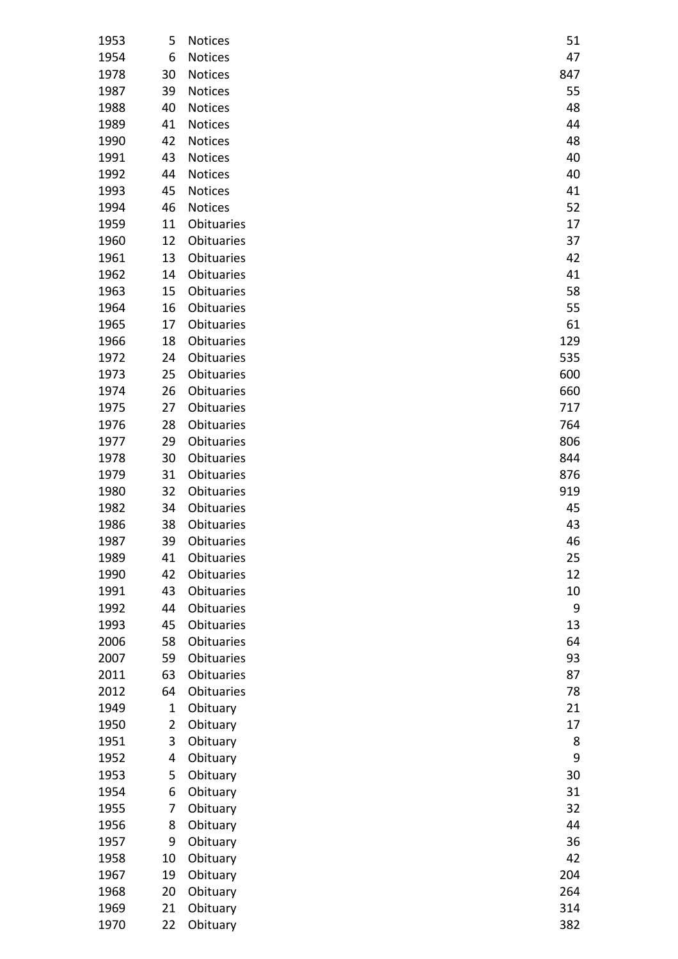| 1953 | 5              | <b>Notices</b>    | 51  |
|------|----------------|-------------------|-----|
| 1954 | 6              | Notices           | 47  |
| 1978 | 30             | Notices           | 847 |
| 1987 | 39             | <b>Notices</b>    | 55  |
| 1988 | 40             | <b>Notices</b>    | 48  |
| 1989 | 41             | <b>Notices</b>    | 44  |
| 1990 | 42             | Notices           | 48  |
| 1991 | 43             | <b>Notices</b>    | 40  |
| 1992 | 44             | <b>Notices</b>    | 40  |
| 1993 | 45             | <b>Notices</b>    | 41  |
| 1994 | 46             | Notices           | 52  |
| 1959 | 11             | Obituaries        | 17  |
| 1960 | 12             | Obituaries        | 37  |
| 1961 | 13             | Obituaries        | 42  |
| 1962 | 14             | Obituaries        | 41  |
| 1963 | 15             | Obituaries        | 58  |
| 1964 | 16             | Obituaries        | 55  |
| 1965 | 17             | Obituaries        | 61  |
| 1966 | 18             | Obituaries        | 129 |
| 1972 | 24             | Obituaries        | 535 |
| 1973 | 25             | Obituaries        | 600 |
| 1974 | 26             | Obituaries        | 660 |
| 1975 | 27             | Obituaries        | 717 |
| 1976 | 28             | Obituaries        | 764 |
| 1977 | 29             | Obituaries        | 806 |
| 1978 | 30             | Obituaries        | 844 |
| 1979 | 31             | Obituaries        | 876 |
| 1980 | 32             | Obituaries        | 919 |
| 1982 | 34             | Obituaries        | 45  |
| 1986 | 38             | Obituaries        | 43  |
| 1987 | 39             | Obituaries        | 46  |
| 1989 | 41             | Obituaries        | 25  |
| 1990 | 42             | Obituaries        | 12  |
| 1991 | 43             | <b>Obituaries</b> | 10  |
| 1992 | 44             | Obituaries        | 9   |
| 1993 | 45             | <b>Obituaries</b> | 13  |
| 2006 | 58             | Obituaries        | 64  |
| 2007 | 59             | Obituaries        | 93  |
| 2011 | 63             | Obituaries        | 87  |
| 2012 | 64             | Obituaries        | 78  |
| 1949 | 1              | Obituary          | 21  |
| 1950 | $\overline{2}$ | Obituary          | 17  |
| 1951 | 3              | Obituary          | 8   |
| 1952 | 4              | Obituary          | 9   |
| 1953 | 5              | Obituary          | 30  |
| 1954 | 6              | Obituary          | 31  |
| 1955 | 7              | Obituary          | 32  |
| 1956 | 8              | Obituary          | 44  |
| 1957 | 9              | Obituary          | 36  |
| 1958 | 10             | Obituary          | 42  |
| 1967 | 19             | Obituary          | 204 |
| 1968 | 20             | Obituary          | 264 |
| 1969 | 21             | Obituary          | 314 |
| 1970 | 22             | Obituary          | 382 |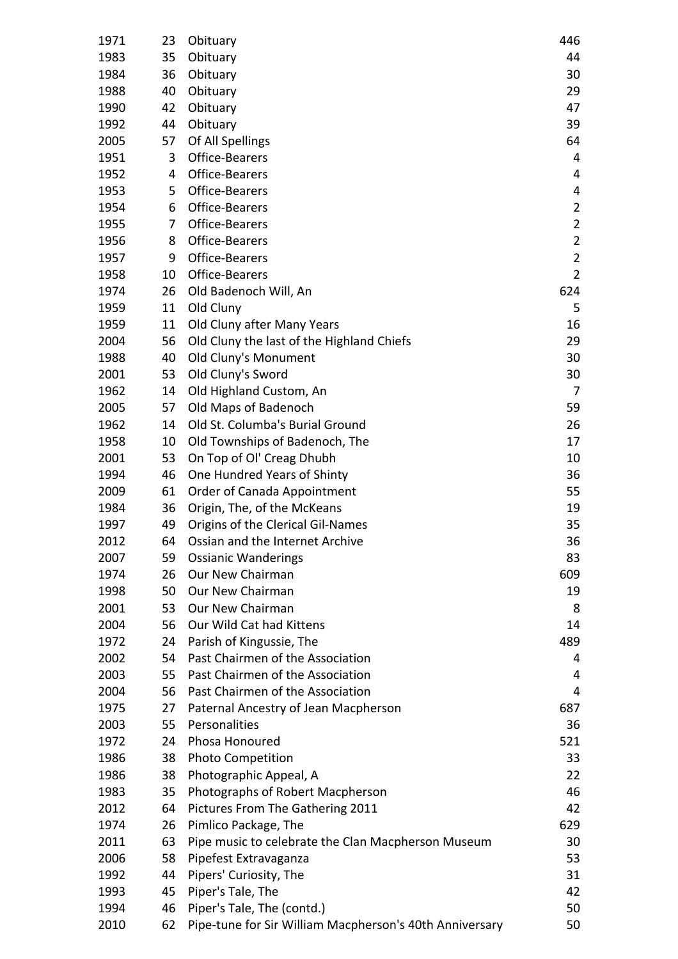| 1971 | 23 | Obituary                                                | 446            |
|------|----|---------------------------------------------------------|----------------|
| 1983 | 35 | Obituary                                                | 44             |
| 1984 | 36 | Obituary                                                | 30             |
| 1988 | 40 | Obituary                                                | 29             |
| 1990 | 42 | Obituary                                                | 47             |
| 1992 | 44 | Obituary                                                | 39             |
| 2005 | 57 | Of All Spellings                                        | 64             |
| 1951 | 3  | Office-Bearers                                          | 4              |
| 1952 | 4  | Office-Bearers                                          | 4              |
| 1953 | 5  | Office-Bearers                                          | 4              |
| 1954 | 6  | Office-Bearers                                          | $\overline{2}$ |
| 1955 | 7  | Office-Bearers                                          | $\overline{2}$ |
| 1956 | 8  | Office-Bearers                                          | $\overline{2}$ |
| 1957 | 9  | Office-Bearers                                          | $\overline{2}$ |
| 1958 | 10 | Office-Bearers                                          | $\overline{2}$ |
| 1974 | 26 | Old Badenoch Will, An                                   | 624            |
| 1959 | 11 | Old Cluny                                               | 5              |
| 1959 | 11 | Old Cluny after Many Years                              | 16             |
| 2004 | 56 | Old Cluny the last of the Highland Chiefs               | 29             |
| 1988 | 40 | Old Cluny's Monument                                    | 30             |
| 2001 | 53 | Old Cluny's Sword                                       | 30             |
| 1962 | 14 | Old Highland Custom, An                                 | 7              |
| 2005 | 57 | Old Maps of Badenoch                                    | 59             |
| 1962 | 14 | Old St. Columba's Burial Ground                         | 26             |
| 1958 | 10 | Old Townships of Badenoch, The                          | 17             |
| 2001 | 53 | On Top of Ol' Creag Dhubh                               | 10             |
| 1994 | 46 | One Hundred Years of Shinty                             | 36             |
| 2009 | 61 | Order of Canada Appointment                             | 55             |
| 1984 | 36 | Origin, The, of the McKeans                             | 19             |
| 1997 | 49 | Origins of the Clerical Gil-Names                       | 35             |
| 2012 | 64 | Ossian and the Internet Archive                         | 36             |
| 2007 | 59 | <b>Ossianic Wanderings</b>                              | 83             |
| 1974 | 26 | Our New Chairman                                        | 609            |
| 1998 | 50 | Our New Chairman                                        | 19             |
| 2001 | 53 | Our New Chairman                                        | 8              |
| 2004 | 56 | Our Wild Cat had Kittens                                | 14             |
| 1972 | 24 | Parish of Kingussie, The                                | 489            |
| 2002 | 54 | Past Chairmen of the Association                        | 4              |
| 2003 | 55 | Past Chairmen of the Association                        | 4              |
| 2004 | 56 | Past Chairmen of the Association                        | 4              |
| 1975 | 27 | Paternal Ancestry of Jean Macpherson                    | 687            |
| 2003 | 55 | Personalities                                           | 36             |
| 1972 | 24 | Phosa Honoured                                          | 521            |
| 1986 | 38 | <b>Photo Competition</b>                                | 33             |
| 1986 | 38 | Photographic Appeal, A                                  | 22             |
| 1983 | 35 | Photographs of Robert Macpherson                        | 46             |
| 2012 | 64 | Pictures From The Gathering 2011                        | 42             |
| 1974 | 26 | Pimlico Package, The                                    | 629            |
| 2011 | 63 | Pipe music to celebrate the Clan Macpherson Museum      | 30             |
| 2006 | 58 | Pipefest Extravaganza                                   | 53             |
| 1992 | 44 | Pipers' Curiosity, The                                  | 31             |
| 1993 | 45 | Piper's Tale, The                                       | 42             |
| 1994 | 46 |                                                         | 50             |
|      |    | Piper's Tale, The (contd.)                              |                |
| 2010 | 62 | Pipe-tune for Sir William Macpherson's 40th Anniversary | 50             |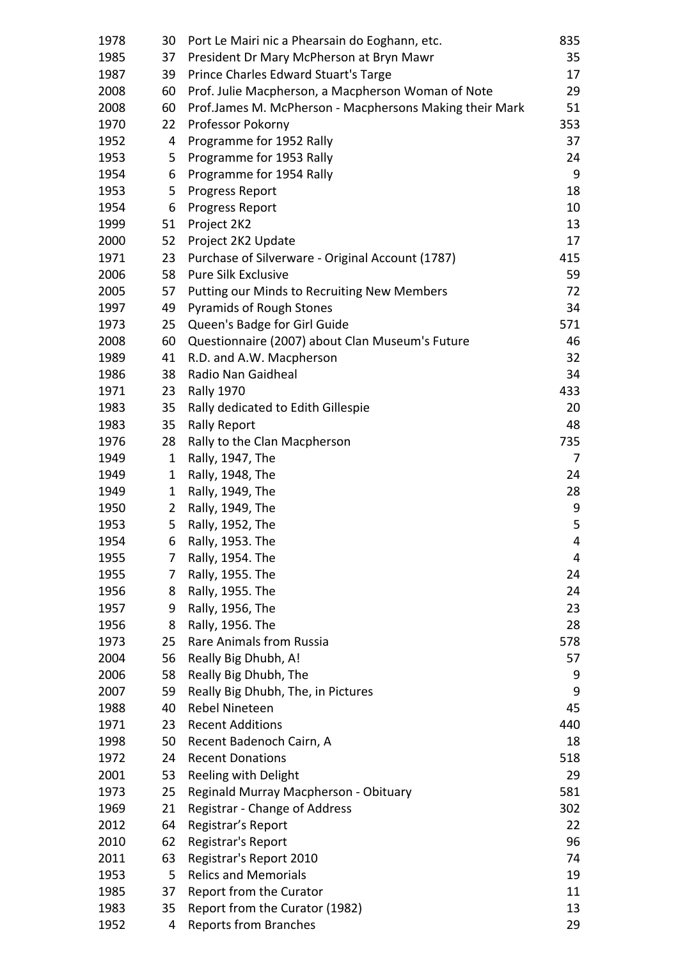| 1978 | 30             | Port Le Mairi nic a Phearsain do Eoghann, etc.          | 835 |
|------|----------------|---------------------------------------------------------|-----|
| 1985 | 37             | President Dr Mary McPherson at Bryn Mawr                | 35  |
| 1987 | 39             | Prince Charles Edward Stuart's Targe                    | 17  |
| 2008 | 60             | Prof. Julie Macpherson, a Macpherson Woman of Note      | 29  |
| 2008 | 60             | Prof.James M. McPherson - Macphersons Making their Mark | 51  |
| 1970 | 22             | Professor Pokorny                                       | 353 |
| 1952 | 4              | Programme for 1952 Rally                                | 37  |
| 1953 | 5              | Programme for 1953 Rally                                | 24  |
| 1954 | 6              | Programme for 1954 Rally                                | 9   |
| 1953 | 5              | <b>Progress Report</b>                                  | 18  |
| 1954 | 6              | <b>Progress Report</b>                                  | 10  |
| 1999 | 51             | Project 2K2                                             | 13  |
| 2000 | 52             | Project 2K2 Update                                      | 17  |
| 1971 | 23             | Purchase of Silverware - Original Account (1787)        | 415 |
| 2006 | 58             | <b>Pure Silk Exclusive</b>                              | 59  |
| 2005 | 57             | Putting our Minds to Recruiting New Members             | 72  |
|      | 49             |                                                         | 34  |
| 1997 |                | <b>Pyramids of Rough Stones</b>                         |     |
| 1973 | 25             | Queen's Badge for Girl Guide                            | 571 |
| 2008 | 60             | Questionnaire (2007) about Clan Museum's Future         | 46  |
| 1989 | 41             | R.D. and A.W. Macpherson                                | 32  |
| 1986 | 38             | Radio Nan Gaidheal                                      | 34  |
| 1971 | 23             | <b>Rally 1970</b>                                       | 433 |
| 1983 | 35             | Rally dedicated to Edith Gillespie                      | 20  |
| 1983 | 35             | <b>Rally Report</b>                                     | 48  |
| 1976 | 28             | Rally to the Clan Macpherson                            | 735 |
| 1949 | $\mathbf{1}$   | Rally, 1947, The                                        | 7   |
| 1949 | 1              | Rally, 1948, The                                        | 24  |
| 1949 | $\mathbf{1}$   | Rally, 1949, The                                        | 28  |
| 1950 | $\overline{2}$ | Rally, 1949, The                                        | 9   |
| 1953 | 5              | Rally, 1952, The                                        | 5   |
| 1954 | 6              | Rally, 1953. The                                        | 4   |
| 1955 | 7              | Rally, 1954. The                                        | 4   |
| 1955 | 7              | Rally, 1955. The                                        | 24  |
| 1956 | 8              | Rally, 1955. The                                        | 24  |
| 1957 | 9              | Rally, 1956, The                                        | 23  |
| 1956 | 8              | Rally, 1956. The                                        | 28  |
| 1973 | 25             | Rare Animals from Russia                                | 578 |
| 2004 | 56             | Really Big Dhubh, A!                                    | 57  |
| 2006 | 58             | Really Big Dhubh, The                                   | 9   |
| 2007 | 59             | Really Big Dhubh, The, in Pictures                      | 9   |
| 1988 | 40             | <b>Rebel Nineteen</b>                                   | 45  |
| 1971 | 23             | <b>Recent Additions</b>                                 | 440 |
| 1998 | 50             | Recent Badenoch Cairn, A                                | 18  |
| 1972 | 24             | <b>Recent Donations</b>                                 | 518 |
| 2001 | 53             | Reeling with Delight                                    | 29  |
| 1973 | 25             | Reginald Murray Macpherson - Obituary                   | 581 |
| 1969 | 21             | Registrar - Change of Address                           | 302 |
| 2012 | 64             | Registrar's Report                                      | 22  |
| 2010 | 62             | Registrar's Report                                      | 96  |
| 2011 | 63             | Registrar's Report 2010                                 | 74  |
| 1953 | 5              | <b>Relics and Memorials</b>                             | 19  |
| 1985 | 37             | Report from the Curator                                 | 11  |
| 1983 | 35             | Report from the Curator (1982)                          | 13  |
| 1952 | 4              | <b>Reports from Branches</b>                            | 29  |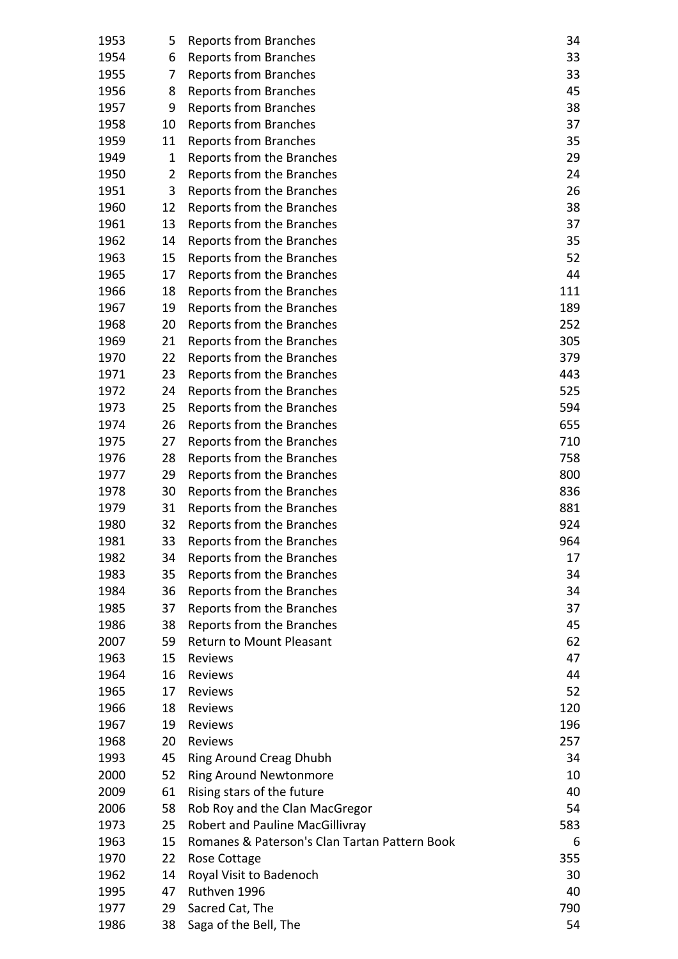| 1953 | 5  | Reports from Branches                         | 34  |
|------|----|-----------------------------------------------|-----|
| 1954 | 6  | Reports from Branches                         | 33  |
| 1955 | 7  | <b>Reports from Branches</b>                  | 33  |
| 1956 | 8  | <b>Reports from Branches</b>                  | 45  |
| 1957 | 9  | Reports from Branches                         | 38  |
| 1958 | 10 | Reports from Branches                         | 37  |
| 1959 | 11 | <b>Reports from Branches</b>                  | 35  |
| 1949 | 1  | Reports from the Branches                     | 29  |
| 1950 | 2  | Reports from the Branches                     | 24  |
| 1951 | 3  | Reports from the Branches                     | 26  |
| 1960 | 12 | Reports from the Branches                     | 38  |
| 1961 | 13 | Reports from the Branches                     | 37  |
| 1962 | 14 | Reports from the Branches                     | 35  |
| 1963 | 15 | Reports from the Branches                     | 52  |
| 1965 | 17 | Reports from the Branches                     | 44  |
| 1966 | 18 | Reports from the Branches                     | 111 |
| 1967 | 19 | Reports from the Branches                     | 189 |
| 1968 | 20 | Reports from the Branches                     | 252 |
| 1969 | 21 | Reports from the Branches                     | 305 |
| 1970 | 22 | Reports from the Branches                     | 379 |
| 1971 | 23 | Reports from the Branches                     | 443 |
| 1972 | 24 | Reports from the Branches                     | 525 |
| 1973 | 25 | Reports from the Branches                     | 594 |
| 1974 | 26 | Reports from the Branches                     | 655 |
| 1975 | 27 | Reports from the Branches                     | 710 |
| 1976 | 28 | Reports from the Branches                     | 758 |
| 1977 | 29 | Reports from the Branches                     | 800 |
| 1978 | 30 | Reports from the Branches                     | 836 |
| 1979 | 31 | Reports from the Branches                     | 881 |
| 1980 | 32 | Reports from the Branches                     | 924 |
| 1981 | 33 | Reports from the Branches                     | 964 |
| 1982 | 34 | Reports from the Branches                     | 17  |
| 1983 | 35 | Reports from the Branches                     | 34  |
| 1984 | 36 | Reports from the Branches                     | 34  |
| 1985 | 37 | Reports from the Branches                     | 37  |
| 1986 | 38 | Reports from the Branches                     | 45  |
| 2007 | 59 | <b>Return to Mount Pleasant</b>               | 62  |
| 1963 | 15 | <b>Reviews</b>                                | 47  |
| 1964 | 16 | Reviews                                       | 44  |
| 1965 | 17 | Reviews                                       | 52  |
| 1966 | 18 | Reviews                                       | 120 |
| 1967 | 19 | Reviews                                       | 196 |
| 1968 | 20 | Reviews                                       | 257 |
| 1993 | 45 | Ring Around Creag Dhubh                       | 34  |
| 2000 | 52 | <b>Ring Around Newtonmore</b>                 | 10  |
| 2009 | 61 | Rising stars of the future                    | 40  |
| 2006 | 58 | Rob Roy and the Clan MacGregor                | 54  |
| 1973 | 25 | <b>Robert and Pauline MacGillivray</b>        | 583 |
| 1963 | 15 | Romanes & Paterson's Clan Tartan Pattern Book | 6   |
| 1970 | 22 | Rose Cottage                                  | 355 |
| 1962 | 14 | Royal Visit to Badenoch                       | 30  |
| 1995 | 47 | Ruthven 1996                                  | 40  |
| 1977 | 29 | Sacred Cat, The                               | 790 |
| 1986 | 38 | Saga of the Bell, The                         | 54  |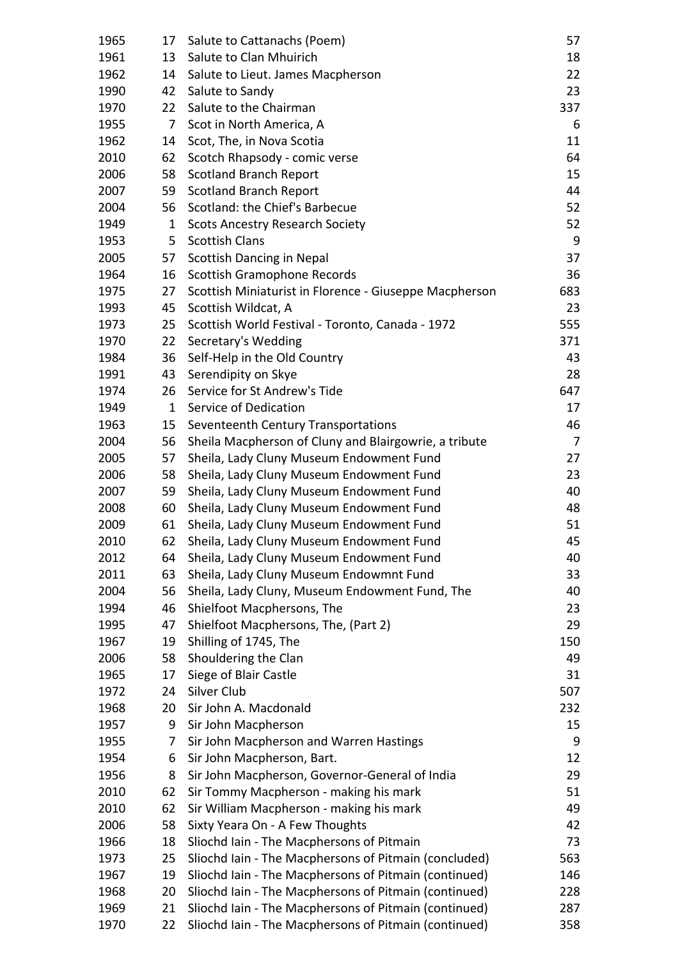| 1965 | 17           | Salute to Cattanachs (Poem)                            | 57  |
|------|--------------|--------------------------------------------------------|-----|
| 1961 | 13           | Salute to Clan Mhuirich                                | 18  |
| 1962 | 14           | Salute to Lieut. James Macpherson                      | 22  |
| 1990 | 42           | Salute to Sandy                                        | 23  |
| 1970 | 22           | Salute to the Chairman                                 | 337 |
| 1955 | 7            | Scot in North America, A                               | 6   |
| 1962 | 14           | Scot, The, in Nova Scotia                              | 11  |
| 2010 | 62           | Scotch Rhapsody - comic verse                          | 64  |
| 2006 | 58           | <b>Scotland Branch Report</b>                          | 15  |
| 2007 | 59           | <b>Scotland Branch Report</b>                          | 44  |
| 2004 | 56           | Scotland: the Chief's Barbecue                         | 52  |
| 1949 | $\mathbf{1}$ | <b>Scots Ancestry Research Society</b>                 | 52  |
| 1953 | 5            | <b>Scottish Clans</b>                                  | 9   |
| 2005 | 57           | <b>Scottish Dancing in Nepal</b>                       | 37  |
| 1964 | 16           | Scottish Gramophone Records                            | 36  |
| 1975 | 27           | Scottish Miniaturist in Florence - Giuseppe Macpherson | 683 |
| 1993 | 45           | Scottish Wildcat, A                                    | 23  |
| 1973 | 25           | Scottish World Festival - Toronto, Canada - 1972       | 555 |
| 1970 | 22           | Secretary's Wedding                                    | 371 |
| 1984 | 36           | Self-Help in the Old Country                           | 43  |
| 1991 | 43           | Serendipity on Skye                                    | 28  |
| 1974 | 26           | Service for St Andrew's Tide                           | 647 |
| 1949 | $\mathbf{1}$ | Service of Dedication                                  | 17  |
| 1963 | 15           | Seventeenth Century Transportations                    | 46  |
| 2004 | 56           | Sheila Macpherson of Cluny and Blairgowrie, a tribute  | 7   |
| 2005 | 57           | Sheila, Lady Cluny Museum Endowment Fund               | 27  |
| 2006 | 58           | Sheila, Lady Cluny Museum Endowment Fund               | 23  |
| 2007 | 59           | Sheila, Lady Cluny Museum Endowment Fund               | 40  |
| 2008 | 60           | Sheila, Lady Cluny Museum Endowment Fund               | 48  |
| 2009 | 61           | Sheila, Lady Cluny Museum Endowment Fund               | 51  |
| 2010 | 62           | Sheila, Lady Cluny Museum Endowment Fund               | 45  |
| 2012 | 64           | Sheila, Lady Cluny Museum Endowment Fund               | 40  |
| 2011 | 63           | Sheila, Lady Cluny Museum Endowmnt Fund                | 33  |
| 2004 | 56           | Sheila, Lady Cluny, Museum Endowment Fund, The         | 40  |
| 1994 | 46           | Shielfoot Macphersons, The                             | 23  |
| 1995 | 47           | Shielfoot Macphersons, The, (Part 2)                   | 29  |
| 1967 | 19           | Shilling of 1745, The                                  | 150 |
| 2006 | 58           | Shouldering the Clan                                   | 49  |
| 1965 | 17           | Siege of Blair Castle                                  | 31  |
| 1972 | 24           | Silver Club                                            | 507 |
| 1968 | 20           | Sir John A. Macdonald                                  | 232 |
| 1957 | 9            | Sir John Macpherson                                    | 15  |
| 1955 | 7            | Sir John Macpherson and Warren Hastings                | 9   |
| 1954 | 6            | Sir John Macpherson, Bart.                             | 12  |
| 1956 | 8            | Sir John Macpherson, Governor-General of India         | 29  |
| 2010 | 62           | Sir Tommy Macpherson - making his mark                 | 51  |
| 2010 | 62           | Sir William Macpherson - making his mark               | 49  |
| 2006 | 58           | Sixty Yeara On - A Few Thoughts                        | 42  |
| 1966 | 18           | Sliochd Iain - The Macphersons of Pitmain              | 73  |
| 1973 | 25           | Sliochd Iain - The Macphersons of Pitmain (concluded)  | 563 |
| 1967 | 19           | Sliochd Iain - The Macphersons of Pitmain (continued)  | 146 |
| 1968 | 20           | Sliochd Iain - The Macphersons of Pitmain (continued)  | 228 |
| 1969 | 21           | Sliochd Iain - The Macphersons of Pitmain (continued)  | 287 |
| 1970 | 22           | Sliochd Iain - The Macphersons of Pitmain (continued)  | 358 |
|      |              |                                                        |     |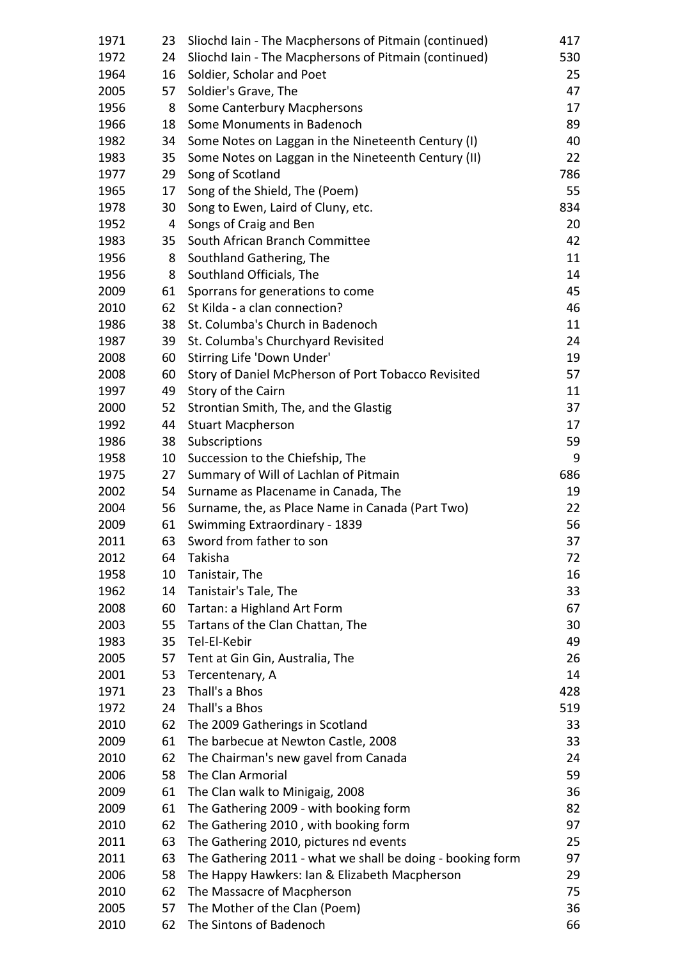| 1971 | 23 | Sliochd Iain - The Macphersons of Pitmain (continued)      | 417 |
|------|----|------------------------------------------------------------|-----|
| 1972 | 24 | Sliochd Iain - The Macphersons of Pitmain (continued)      | 530 |
| 1964 | 16 | Soldier, Scholar and Poet                                  | 25  |
| 2005 | 57 | Soldier's Grave, The                                       | 47  |
| 1956 | 8  | Some Canterbury Macphersons                                | 17  |
| 1966 | 18 | Some Monuments in Badenoch                                 | 89  |
| 1982 | 34 | Some Notes on Laggan in the Nineteenth Century (I)         | 40  |
| 1983 | 35 | Some Notes on Laggan in the Nineteenth Century (II)        | 22  |
| 1977 | 29 | Song of Scotland                                           | 786 |
| 1965 | 17 | Song of the Shield, The (Poem)                             | 55  |
| 1978 | 30 | Song to Ewen, Laird of Cluny, etc.                         | 834 |
| 1952 | 4  | Songs of Craig and Ben                                     | 20  |
| 1983 | 35 | South African Branch Committee                             | 42  |
| 1956 | 8  | Southland Gathering, The                                   | 11  |
| 1956 | 8  | Southland Officials, The                                   | 14  |
| 2009 | 61 | Sporrans for generations to come                           | 45  |
| 2010 | 62 | St Kilda - a clan connection?                              | 46  |
|      |    | St. Columba's Church in Badenoch                           |     |
| 1986 | 38 |                                                            | 11  |
| 1987 | 39 | St. Columba's Churchyard Revisited                         | 24  |
| 2008 | 60 | Stirring Life 'Down Under'                                 | 19  |
| 2008 | 60 | Story of Daniel McPherson of Port Tobacco Revisited        | 57  |
| 1997 | 49 | Story of the Cairn                                         | 11  |
| 2000 | 52 | Strontian Smith, The, and the Glastig                      | 37  |
| 1992 | 44 | <b>Stuart Macpherson</b>                                   | 17  |
| 1986 | 38 | Subscriptions                                              | 59  |
| 1958 | 10 | Succession to the Chiefship, The                           | 9   |
| 1975 | 27 | Summary of Will of Lachlan of Pitmain                      | 686 |
| 2002 | 54 | Surname as Placename in Canada, The                        | 19  |
| 2004 | 56 | Surname, the, as Place Name in Canada (Part Two)           | 22  |
| 2009 | 61 | Swimming Extraordinary - 1839                              | 56  |
| 2011 | 63 | Sword from father to son                                   | 37  |
| 2012 | 64 | Takisha                                                    | 72  |
| 1958 | 10 | Tanistair, The                                             | 16  |
| 1962 | 14 | Tanistair's Tale, The                                      | 33  |
| 2008 | 60 | Tartan: a Highland Art Form                                | 67  |
| 2003 | 55 | Tartans of the Clan Chattan, The                           | 30  |
| 1983 | 35 | Tel-El-Kebir                                               | 49  |
| 2005 | 57 | Tent at Gin Gin, Australia, The                            | 26  |
| 2001 | 53 | Tercentenary, A                                            | 14  |
| 1971 | 23 | Thall's a Bhos                                             | 428 |
| 1972 | 24 | Thall's a Bhos                                             | 519 |
| 2010 | 62 | The 2009 Gatherings in Scotland                            | 33  |
| 2009 | 61 | The barbecue at Newton Castle, 2008                        | 33  |
| 2010 | 62 | The Chairman's new gavel from Canada                       | 24  |
| 2006 | 58 | The Clan Armorial                                          | 59  |
| 2009 | 61 | The Clan walk to Minigaig, 2008                            | 36  |
| 2009 | 61 | The Gathering 2009 - with booking form                     | 82  |
| 2010 | 62 | The Gathering 2010, with booking form                      | 97  |
| 2011 | 63 | The Gathering 2010, pictures nd events                     | 25  |
| 2011 | 63 | The Gathering 2011 - what we shall be doing - booking form | 97  |
| 2006 | 58 | The Happy Hawkers: Ian & Elizabeth Macpherson              | 29  |
| 2010 | 62 | The Massacre of Macpherson                                 | 75  |
| 2005 | 57 | The Mother of the Clan (Poem)                              | 36  |
| 2010 | 62 | The Sintons of Badenoch                                    | 66  |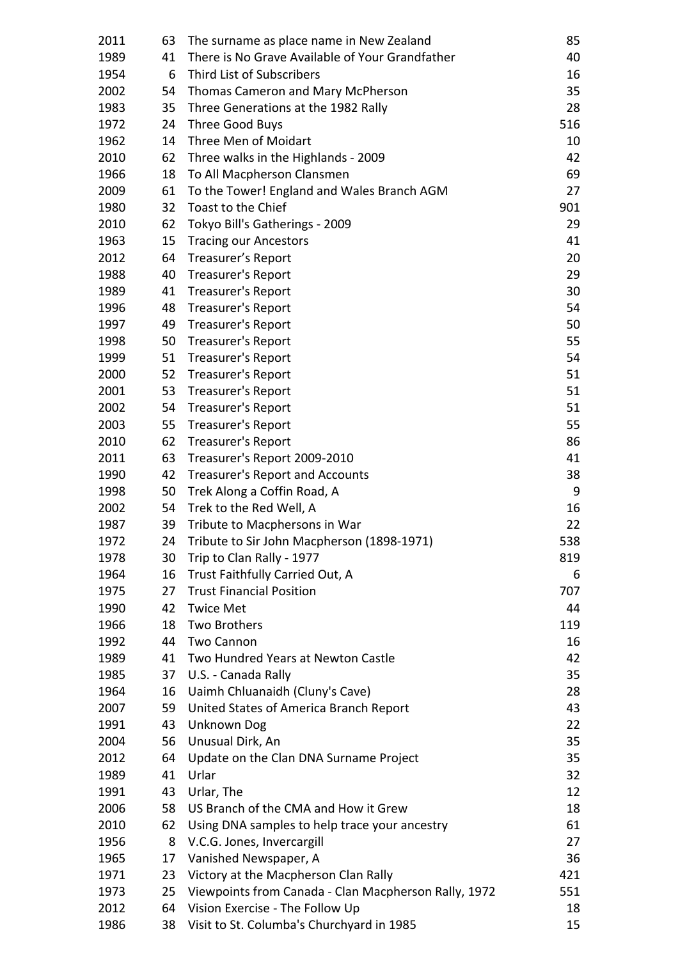| 2011         | 63       | The surname as place name in New Zealand                                     | 85        |
|--------------|----------|------------------------------------------------------------------------------|-----------|
| 1989         | 41       | There is No Grave Available of Your Grandfather                              | 40        |
| 1954         | 6        | Third List of Subscribers                                                    | 16        |
| 2002         | 54       | Thomas Cameron and Mary McPherson                                            | 35        |
| 1983         | 35       | Three Generations at the 1982 Rally                                          | 28        |
| 1972         | 24       | Three Good Buys                                                              | 516       |
| 1962         | 14       | Three Men of Moidart                                                         | 10        |
| 2010         | 62       | Three walks in the Highlands - 2009                                          | 42        |
| 1966         | 18       | To All Macpherson Clansmen                                                   | 69        |
| 2009         | 61       | To the Tower! England and Wales Branch AGM                                   | 27        |
| 1980         | 32       | Toast to the Chief                                                           | 901       |
| 2010         | 62       | Tokyo Bill's Gatherings - 2009                                               | 29        |
| 1963         | 15       | <b>Tracing our Ancestors</b>                                                 | 41        |
| 2012         | 64       | Treasurer's Report                                                           | 20        |
| 1988         | 40       | Treasurer's Report                                                           | 29        |
| 1989         | 41       | Treasurer's Report                                                           | 30        |
| 1996         | 48       | <b>Treasurer's Report</b>                                                    | 54        |
| 1997         | 49       | Treasurer's Report                                                           | 50        |
| 1998         | 50       | Treasurer's Report                                                           | 55        |
| 1999         | 51       | <b>Treasurer's Report</b>                                                    | 54        |
| 2000         | 52       | <b>Treasurer's Report</b>                                                    | 51        |
| 2001         | 53       | <b>Treasurer's Report</b>                                                    | 51        |
| 2002         |          |                                                                              | 51        |
| 2003         | 54       | <b>Treasurer's Report</b>                                                    | 55        |
| 2010         | 55       | Treasurer's Report                                                           | 86        |
| 2011         | 62<br>63 | Treasurer's Report                                                           | 41        |
|              |          | Treasurer's Report 2009-2010                                                 | 38        |
| 1990         | 42       | <b>Treasurer's Report and Accounts</b>                                       | 9         |
| 1998         | 50       | Trek Along a Coffin Road, A                                                  |           |
| 2002         | 54       | Trek to the Red Well, A                                                      | 16        |
| 1987         | 39       | Tribute to Macphersons in War                                                | 22        |
| 1972         | 24       | Tribute to Sir John Macpherson (1898-1971)                                   | 538       |
| 1978<br>1964 | 30       | Trip to Clan Rally - 1977<br>Trust Faithfully Carried Out, A                 | 819<br>6  |
| 1975         | 16<br>27 | <b>Trust Financial Position</b>                                              | 707       |
|              |          |                                                                              | 44        |
| 1990         | 42       | <b>Twice Met</b><br><b>Two Brothers</b>                                      |           |
| 1966         | 18       | <b>Two Cannon</b>                                                            | 119       |
| 1992         | 44       |                                                                              | 16        |
| 1989         | 41       | Two Hundred Years at Newton Castle                                           | 42        |
| 1985         | 37       | U.S. - Canada Rally                                                          | 35        |
| 1964<br>2007 | 16       | Uaimh Chluanaidh (Cluny's Cave)                                              | 28<br>43  |
| 1991         | 59<br>43 | United States of America Branch Report<br><b>Unknown Dog</b>                 | 22        |
| 2004         |          |                                                                              | 35        |
| 2012         | 56<br>64 | Unusual Dirk, An<br>Update on the Clan DNA Surname Project                   | 35        |
| 1989         | 41       | Urlar                                                                        | 32        |
| 1991         | 43       | Urlar, The                                                                   | 12        |
| 2006         | 58       | US Branch of the CMA and How it Grew                                         | 18        |
| 2010         | 62       | Using DNA samples to help trace your ancestry                                | 61        |
|              |          |                                                                              |           |
| 1956<br>1965 | 8        | V.C.G. Jones, Invercargill                                                   | 27<br>36  |
| 1971         | 17       | Vanished Newspaper, A<br>Victory at the Macpherson Clan Rally                | 421       |
|              | 23<br>25 |                                                                              |           |
| 1973<br>2012 | 64       | Viewpoints from Canada - Clan Macpherson Rally, 1972                         | 551<br>18 |
| 1986         |          | Vision Exercise - The Follow Up<br>Visit to St. Columba's Churchyard in 1985 |           |
|              | 38       |                                                                              | 15        |